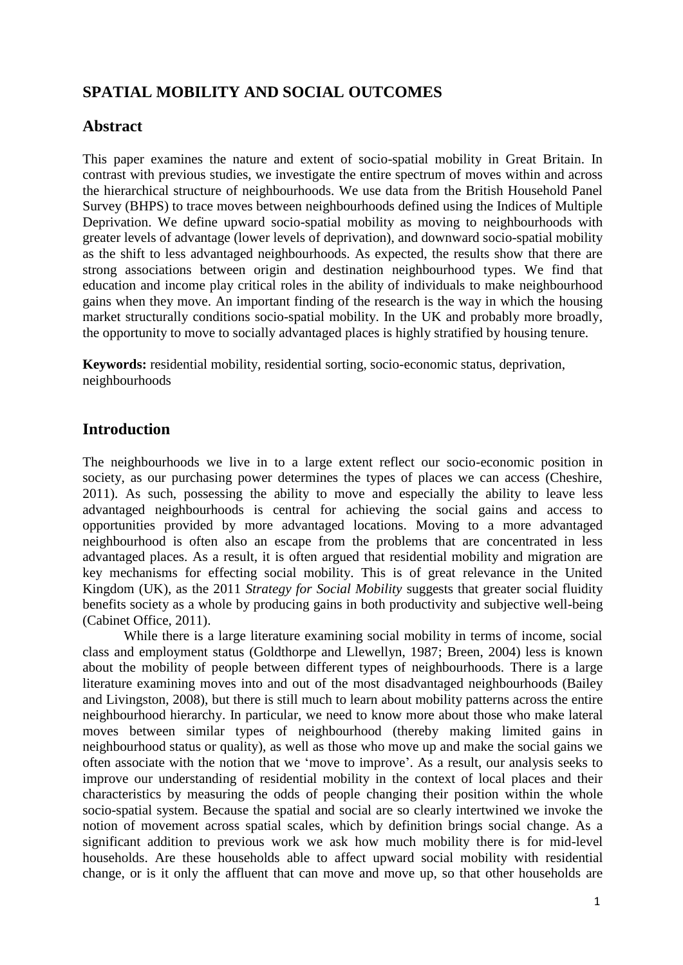# **SPATIAL MOBILITY AND SOCIAL OUTCOMES**

# **Abstract**

This paper examines the nature and extent of socio-spatial mobility in Great Britain. In contrast with previous studies, we investigate the entire spectrum of moves within and across the hierarchical structure of neighbourhoods. We use data from the British Household Panel Survey (BHPS) to trace moves between neighbourhoods defined using the Indices of Multiple Deprivation. We define upward socio-spatial mobility as moving to neighbourhoods with greater levels of advantage (lower levels of deprivation), and downward socio-spatial mobility as the shift to less advantaged neighbourhoods. As expected, the results show that there are strong associations between origin and destination neighbourhood types. We find that education and income play critical roles in the ability of individuals to make neighbourhood gains when they move. An important finding of the research is the way in which the housing market structurally conditions socio-spatial mobility. In the UK and probably more broadly, the opportunity to move to socially advantaged places is highly stratified by housing tenure.

**Keywords:** residential mobility, residential sorting, socio-economic status, deprivation, neighbourhoods

# **Introduction**

The neighbourhoods we live in to a large extent reflect our socio-economic position in society, as our purchasing power determines the types of places we can access (Cheshire, 2011). As such, possessing the ability to move and especially the ability to leave less advantaged neighbourhoods is central for achieving the social gains and access to opportunities provided by more advantaged locations. Moving to a more advantaged neighbourhood is often also an escape from the problems that are concentrated in less advantaged places. As a result, it is often argued that residential mobility and migration are key mechanisms for effecting social mobility. This is of great relevance in the United Kingdom (UK), as the 2011 *Strategy for Social Mobility* suggests that greater social fluidity benefits society as a whole by producing gains in both productivity and subjective well-being (Cabinet Office, 2011).

While there is a large literature examining social mobility in terms of income, social class and employment status (Goldthorpe and Llewellyn, 1987; Breen, 2004) less is known about the mobility of people between different types of neighbourhoods. There is a large literature examining moves into and out of the most disadvantaged neighbourhoods (Bailey and Livingston, 2008), but there is still much to learn about mobility patterns across the entire neighbourhood hierarchy. In particular, we need to know more about those who make lateral moves between similar types of neighbourhood (thereby making limited gains in neighbourhood status or quality), as well as those who move up and make the social gains we often associate with the notion that we 'move to improve'. As a result, our analysis seeks to improve our understanding of residential mobility in the context of local places and their characteristics by measuring the odds of people changing their position within the whole socio-spatial system. Because the spatial and social are so clearly intertwined we invoke the notion of movement across spatial scales, which by definition brings social change. As a significant addition to previous work we ask how much mobility there is for mid-level households. Are these households able to affect upward social mobility with residential change, or is it only the affluent that can move and move up, so that other households are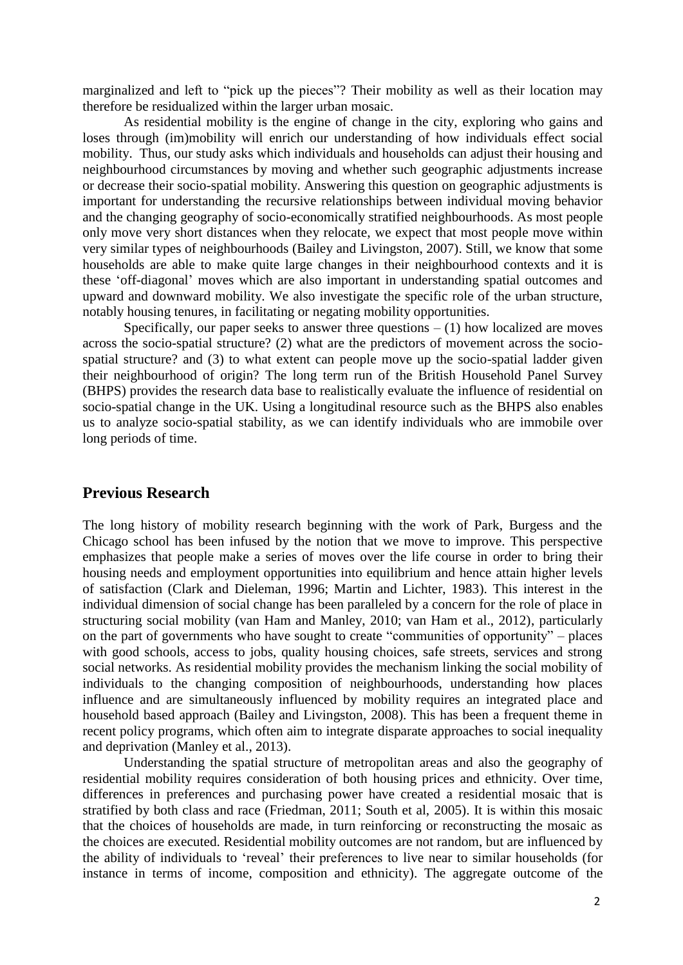marginalized and left to "pick up the pieces"? Their mobility as well as their location may therefore be residualized within the larger urban mosaic.

As residential mobility is the engine of change in the city, exploring who gains and loses through (im)mobility will enrich our understanding of how individuals effect social mobility. Thus, our study asks which individuals and households can adjust their housing and neighbourhood circumstances by moving and whether such geographic adjustments increase or decrease their socio-spatial mobility. Answering this question on geographic adjustments is important for understanding the recursive relationships between individual moving behavior and the changing geography of socio-economically stratified neighbourhoods. As most people only move very short distances when they relocate, we expect that most people move within very similar types of neighbourhoods (Bailey and Livingston, 2007). Still, we know that some households are able to make quite large changes in their neighbourhood contexts and it is these 'off-diagonal' moves which are also important in understanding spatial outcomes and upward and downward mobility. We also investigate the specific role of the urban structure, notably housing tenures, in facilitating or negating mobility opportunities.

Specifically, our paper seeks to answer three questions  $- (1)$  how localized are moves across the socio-spatial structure? (2) what are the predictors of movement across the sociospatial structure? and (3) to what extent can people move up the socio-spatial ladder given their neighbourhood of origin? The long term run of the British Household Panel Survey (BHPS) provides the research data base to realistically evaluate the influence of residential on socio-spatial change in the UK. Using a longitudinal resource such as the BHPS also enables us to analyze socio-spatial stability, as we can identify individuals who are immobile over long periods of time.

# **Previous Research**

The long history of mobility research beginning with the work of Park, Burgess and the Chicago school has been infused by the notion that we move to improve. This perspective emphasizes that people make a series of moves over the life course in order to bring their housing needs and employment opportunities into equilibrium and hence attain higher levels of satisfaction (Clark and Dieleman, 1996; Martin and Lichter, 1983). This interest in the individual dimension of social change has been paralleled by a concern for the role of place in structuring social mobility (van Ham and Manley, 2010; van Ham et al., 2012), particularly on the part of governments who have sought to create "communities of opportunity" – places with good schools, access to jobs, quality housing choices, safe streets, services and strong social networks. As residential mobility provides the mechanism linking the social mobility of individuals to the changing composition of neighbourhoods, understanding how places influence and are simultaneously influenced by mobility requires an integrated place and household based approach (Bailey and Livingston, 2008). This has been a frequent theme in recent policy programs, which often aim to integrate disparate approaches to social inequality and deprivation (Manley et al., 2013).

Understanding the spatial structure of metropolitan areas and also the geography of residential mobility requires consideration of both housing prices and ethnicity. Over time, differences in preferences and purchasing power have created a residential mosaic that is stratified by both class and race (Friedman, 2011; South et al, 2005). It is within this mosaic that the choices of households are made, in turn reinforcing or reconstructing the mosaic as the choices are executed. Residential mobility outcomes are not random, but are influenced by the ability of individuals to 'reveal' their preferences to live near to similar households (for instance in terms of income, composition and ethnicity). The aggregate outcome of the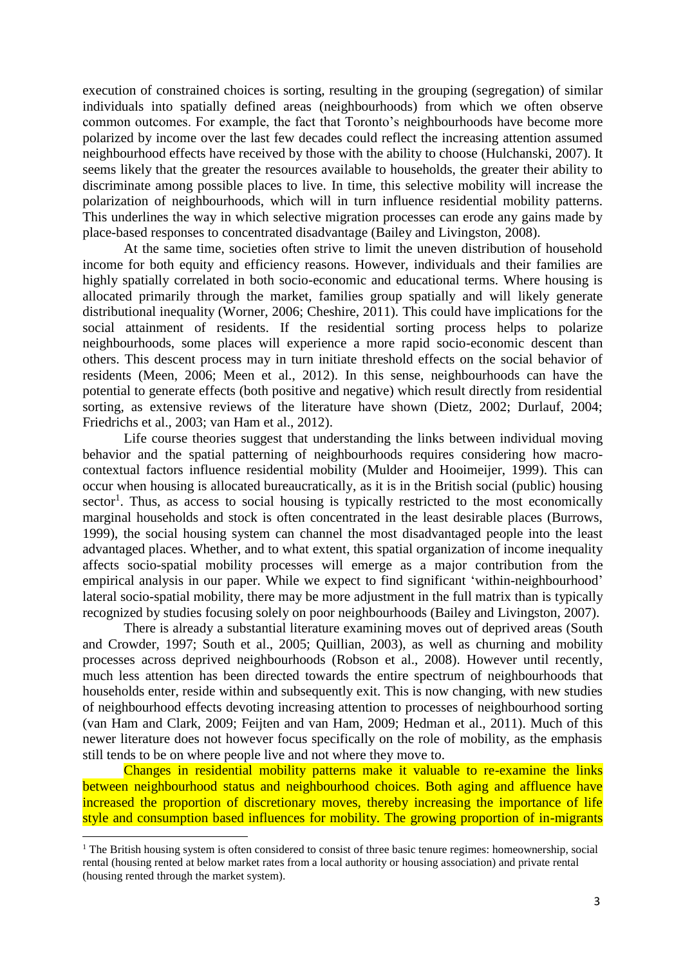execution of constrained choices is sorting, resulting in the grouping (segregation) of similar individuals into spatially defined areas (neighbourhoods) from which we often observe common outcomes. For example, the fact that Toronto's neighbourhoods have become more polarized by income over the last few decades could reflect the increasing attention assumed neighbourhood effects have received by those with the ability to choose (Hulchanski, 2007). It seems likely that the greater the resources available to households, the greater their ability to discriminate among possible places to live. In time, this selective mobility will increase the polarization of neighbourhoods, which will in turn influence residential mobility patterns. This underlines the way in which selective migration processes can erode any gains made by place-based responses to concentrated disadvantage (Bailey and Livingston, 2008).

At the same time, societies often strive to limit the uneven distribution of household income for both equity and efficiency reasons. However, individuals and their families are highly spatially correlated in both socio-economic and educational terms. Where housing is allocated primarily through the market, families group spatially and will likely generate distributional inequality (Worner, 2006; Cheshire, 2011). This could have implications for the social attainment of residents. If the residential sorting process helps to polarize neighbourhoods, some places will experience a more rapid socio-economic descent than others. This descent process may in turn initiate threshold effects on the social behavior of residents (Meen, 2006; Meen et al., 2012). In this sense, neighbourhoods can have the potential to generate effects (both positive and negative) which result directly from residential sorting, as extensive reviews of the literature have shown (Dietz, 2002; Durlauf, 2004; Friedrichs et al., 2003; van Ham et al., 2012).

Life course theories suggest that understanding the links between individual moving behavior and the spatial patterning of neighbourhoods requires considering how macrocontextual factors influence residential mobility (Mulder and Hooimeijer, 1999). This can occur when housing is allocated bureaucratically, as it is in the British social (public) housing sector<sup>1</sup>. Thus, as access to social housing is typically restricted to the most economically marginal households and stock is often concentrated in the least desirable places (Burrows, 1999), the social housing system can channel the most disadvantaged people into the least advantaged places. Whether, and to what extent, this spatial organization of income inequality affects socio-spatial mobility processes will emerge as a major contribution from the empirical analysis in our paper. While we expect to find significant 'within-neighbourhood' lateral socio-spatial mobility, there may be more adjustment in the full matrix than is typically recognized by studies focusing solely on poor neighbourhoods (Bailey and Livingston, 2007).

There is already a substantial literature examining moves out of deprived areas (South and Crowder, 1997; South et al., 2005; Quillian, 2003), as well as churning and mobility processes across deprived neighbourhoods (Robson et al., 2008). However until recently, much less attention has been directed towards the entire spectrum of neighbourhoods that households enter, reside within and subsequently exit. This is now changing, with new studies of neighbourhood effects devoting increasing attention to processes of neighbourhood sorting (van Ham and Clark, 2009; Feijten and van Ham, 2009; Hedman et al., 2011). Much of this newer literature does not however focus specifically on the role of mobility, as the emphasis still tends to be on where people live and not where they move to.

Changes in residential mobility patterns make it valuable to re-examine the links between neighbourhood status and neighbourhood choices. Both aging and affluence have increased the proportion of discretionary moves, thereby increasing the importance of life style and consumption based influences for mobility. The growing proportion of in-migrants

1

<sup>&</sup>lt;sup>1</sup> The British housing system is often considered to consist of three basic tenure regimes: homeownership, social rental (housing rented at below market rates from a local authority or housing association) and private rental (housing rented through the market system).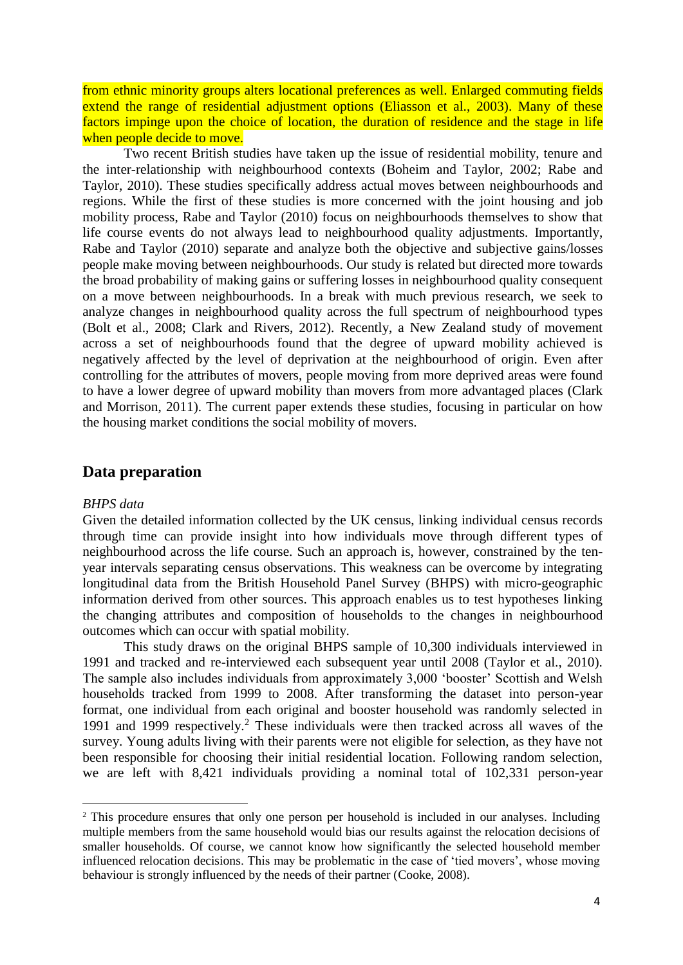from ethnic minority groups alters locational preferences as well. Enlarged commuting fields extend the range of residential adjustment options (Eliasson et al., 2003). Many of these factors impinge upon the choice of location, the duration of residence and the stage in life when people decide to move.

Two recent British studies have taken up the issue of residential mobility, tenure and the inter-relationship with neighbourhood contexts (Boheim and Taylor, 2002; Rabe and Taylor, 2010). These studies specifically address actual moves between neighbourhoods and regions. While the first of these studies is more concerned with the joint housing and job mobility process, Rabe and Taylor (2010) focus on neighbourhoods themselves to show that life course events do not always lead to neighbourhood quality adjustments. Importantly, Rabe and Taylor (2010) separate and analyze both the objective and subjective gains/losses people make moving between neighbourhoods. Our study is related but directed more towards the broad probability of making gains or suffering losses in neighbourhood quality consequent on a move between neighbourhoods. In a break with much previous research, we seek to analyze changes in neighbourhood quality across the full spectrum of neighbourhood types (Bolt et al., 2008; Clark and Rivers, 2012). Recently, a New Zealand study of movement across a set of neighbourhoods found that the degree of upward mobility achieved is negatively affected by the level of deprivation at the neighbourhood of origin. Even after controlling for the attributes of movers, people moving from more deprived areas were found to have a lower degree of upward mobility than movers from more advantaged places (Clark and Morrison, 2011). The current paper extends these studies, focusing in particular on how the housing market conditions the social mobility of movers.

# **Data preparation**

### *BHPS data*

**.** 

Given the detailed information collected by the UK census, linking individual census records through time can provide insight into how individuals move through different types of neighbourhood across the life course. Such an approach is, however, constrained by the tenyear intervals separating census observations. This weakness can be overcome by integrating longitudinal data from the British Household Panel Survey (BHPS) with micro-geographic information derived from other sources. This approach enables us to test hypotheses linking the changing attributes and composition of households to the changes in neighbourhood outcomes which can occur with spatial mobility.

This study draws on the original BHPS sample of 10,300 individuals interviewed in 1991 and tracked and re-interviewed each subsequent year until 2008 (Taylor et al., 2010). The sample also includes individuals from approximately 3,000 'booster' Scottish and Welsh households tracked from 1999 to 2008. After transforming the dataset into person-year format, one individual from each original and booster household was randomly selected in 1991 and 1999 respectively.<sup>2</sup> These individuals were then tracked across all waves of the survey. Young adults living with their parents were not eligible for selection, as they have not been responsible for choosing their initial residential location. Following random selection, we are left with 8,421 individuals providing a nominal total of 102,331 person-year

<sup>&</sup>lt;sup>2</sup> This procedure ensures that only one person per household is included in our analyses. Including multiple members from the same household would bias our results against the relocation decisions of smaller households. Of course, we cannot know how significantly the selected household member influenced relocation decisions. This may be problematic in the case of 'tied movers', whose moving behaviour is strongly influenced by the needs of their partner (Cooke, 2008).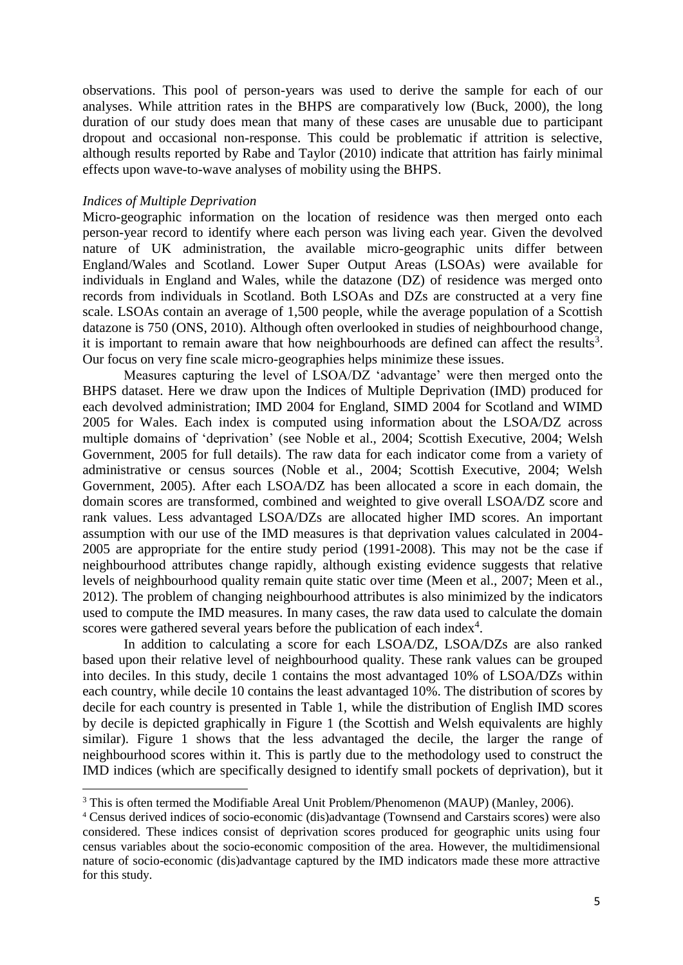observations. This pool of person-years was used to derive the sample for each of our analyses. While attrition rates in the BHPS are comparatively low (Buck, 2000), the long duration of our study does mean that many of these cases are unusable due to participant dropout and occasional non-response. This could be problematic if attrition is selective, although results reported by Rabe and Taylor (2010) indicate that attrition has fairly minimal effects upon wave-to-wave analyses of mobility using the BHPS.

### *Indices of Multiple Deprivation*

**.** 

Micro-geographic information on the location of residence was then merged onto each person-year record to identify where each person was living each year. Given the devolved nature of UK administration, the available micro-geographic units differ between England/Wales and Scotland. Lower Super Output Areas (LSOAs) were available for individuals in England and Wales, while the datazone (DZ) of residence was merged onto records from individuals in Scotland. Both LSOAs and DZs are constructed at a very fine scale. LSOAs contain an average of 1,500 people, while the average population of a Scottish datazone is 750 (ONS, 2010). Although often overlooked in studies of neighbourhood change, it is important to remain aware that how neighbourhoods are defined can affect the results<sup>3</sup>. Our focus on very fine scale micro-geographies helps minimize these issues.

Measures capturing the level of LSOA/DZ 'advantage' were then merged onto the BHPS dataset. Here we draw upon the Indices of Multiple Deprivation (IMD) produced for each devolved administration; IMD 2004 for England, SIMD 2004 for Scotland and WIMD 2005 for Wales. Each index is computed using information about the LSOA/DZ across multiple domains of 'deprivation' (see Noble et al., 2004; Scottish Executive, 2004; Welsh Government, 2005 for full details). The raw data for each indicator come from a variety of administrative or census sources (Noble et al., 2004; Scottish Executive, 2004; Welsh Government, 2005). After each LSOA/DZ has been allocated a score in each domain, the domain scores are transformed, combined and weighted to give overall LSOA/DZ score and rank values. Less advantaged LSOA/DZs are allocated higher IMD scores. An important assumption with our use of the IMD measures is that deprivation values calculated in 2004- 2005 are appropriate for the entire study period (1991-2008). This may not be the case if neighbourhood attributes change rapidly, although existing evidence suggests that relative levels of neighbourhood quality remain quite static over time (Meen et al., 2007; Meen et al., 2012). The problem of changing neighbourhood attributes is also minimized by the indicators used to compute the IMD measures. In many cases, the raw data used to calculate the domain scores were gathered several years before the publication of each index<sup>4</sup>.

In addition to calculating a score for each LSOA/DZ, LSOA/DZs are also ranked based upon their relative level of neighbourhood quality. These rank values can be grouped into deciles. In this study, decile 1 contains the most advantaged 10% of LSOA/DZs within each country, while decile 10 contains the least advantaged 10%. The distribution of scores by decile for each country is presented in Table 1, while the distribution of English IMD scores by decile is depicted graphically in Figure 1 (the Scottish and Welsh equivalents are highly similar). Figure 1 shows that the less advantaged the decile, the larger the range of neighbourhood scores within it. This is partly due to the methodology used to construct the IMD indices (which are specifically designed to identify small pockets of deprivation), but it

<sup>&</sup>lt;sup>3</sup> This is often termed the Modifiable Areal Unit Problem/Phenomenon (MAUP) (Manley, 2006).

<sup>4</sup> Census derived indices of socio-economic (dis)advantage (Townsend and Carstairs scores) were also considered. These indices consist of deprivation scores produced for geographic units using four census variables about the socio-economic composition of the area. However, the multidimensional nature of socio-economic (dis)advantage captured by the IMD indicators made these more attractive for this study.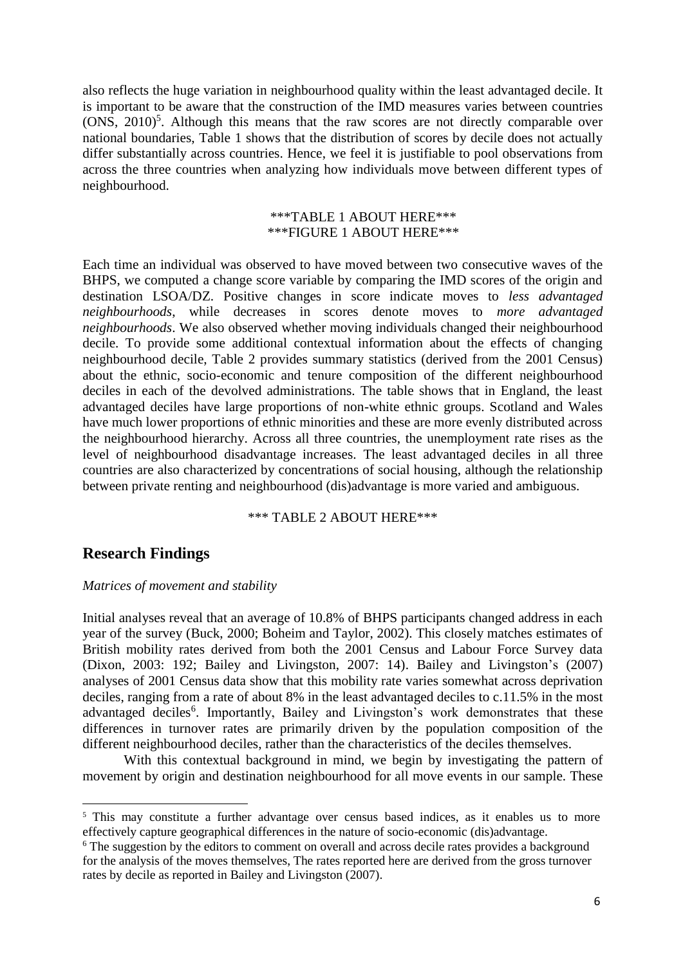also reflects the huge variation in neighbourhood quality within the least advantaged decile. It is important to be aware that the construction of the IMD measures varies between countries  $(ONS, 2010)<sup>5</sup>$ . Although this means that the raw scores are not directly comparable over national boundaries, Table 1 shows that the distribution of scores by decile does not actually differ substantially across countries. Hence, we feel it is justifiable to pool observations from across the three countries when analyzing how individuals move between different types of neighbourhood.

## \*\*\*TABLE 1 ABOUT HERE\*\*\* \*\*\*FIGURE 1 ABOUT HERE\*\*\*

Each time an individual was observed to have moved between two consecutive waves of the BHPS, we computed a change score variable by comparing the IMD scores of the origin and destination LSOA/DZ. Positive changes in score indicate moves to *less advantaged neighbourhoods*, while decreases in scores denote moves to *more advantaged neighbourhoods*. We also observed whether moving individuals changed their neighbourhood decile. To provide some additional contextual information about the effects of changing neighbourhood decile, Table 2 provides summary statistics (derived from the 2001 Census) about the ethnic, socio-economic and tenure composition of the different neighbourhood deciles in each of the devolved administrations. The table shows that in England, the least advantaged deciles have large proportions of non-white ethnic groups. Scotland and Wales have much lower proportions of ethnic minorities and these are more evenly distributed across the neighbourhood hierarchy. Across all three countries, the unemployment rate rises as the level of neighbourhood disadvantage increases. The least advantaged deciles in all three countries are also characterized by concentrations of social housing, although the relationship between private renting and neighbourhood (dis)advantage is more varied and ambiguous.

### \*\*\* TABLE 2 ABOUT HERE\*\*\*

# **Research Findings**

**.** 

## *Matrices of movement and stability*

Initial analyses reveal that an average of 10.8% of BHPS participants changed address in each year of the survey (Buck, 2000; Boheim and Taylor, 2002). This closely matches estimates of British mobility rates derived from both the 2001 Census and Labour Force Survey data (Dixon, 2003: 192; Bailey and Livingston, 2007: 14). Bailey and Livingston's (2007) analyses of 2001 Census data show that this mobility rate varies somewhat across deprivation deciles, ranging from a rate of about 8% in the least advantaged deciles to c.11.5% in the most advantaged deciles<sup>6</sup>. Importantly, Bailey and Livingston's work demonstrates that these differences in turnover rates are primarily driven by the population composition of the different neighbourhood deciles, rather than the characteristics of the deciles themselves.

With this contextual background in mind, we begin by investigating the pattern of movement by origin and destination neighbourhood for all move events in our sample. These

<sup>&</sup>lt;sup>5</sup> This may constitute a further advantage over census based indices, as it enables us to more effectively capture geographical differences in the nature of socio-economic (dis)advantage.

<sup>&</sup>lt;sup>6</sup> The suggestion by the editors to comment on overall and across decile rates provides a background for the analysis of the moves themselves. The rates reported here are derived from the gross turnover rates by decile as reported in Bailey and Livingston (2007).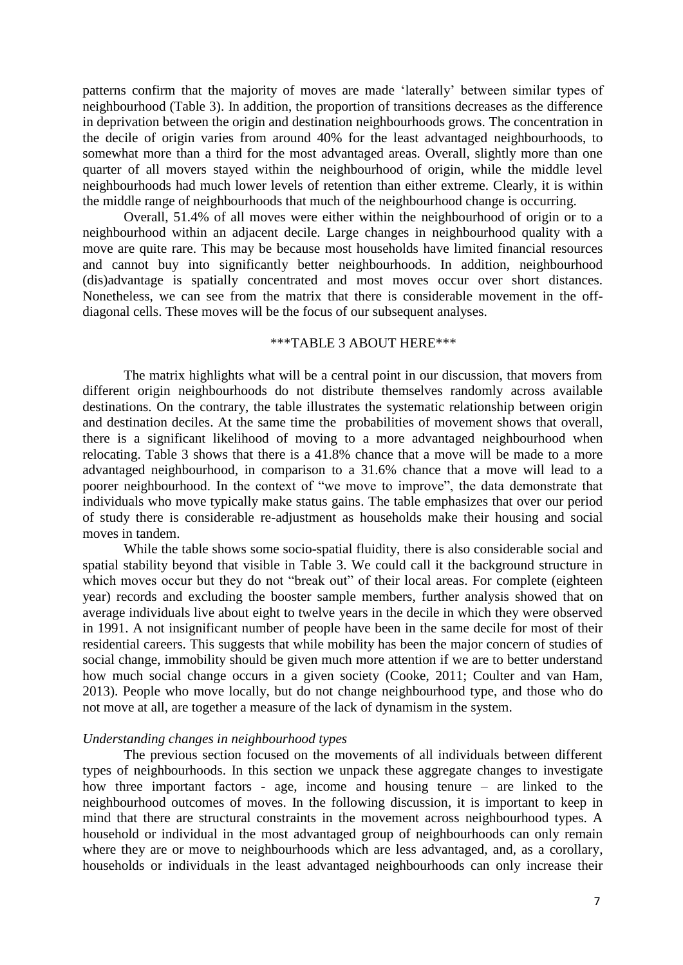patterns confirm that the majority of moves are made 'laterally' between similar types of neighbourhood (Table 3). In addition, the proportion of transitions decreases as the difference in deprivation between the origin and destination neighbourhoods grows. The concentration in the decile of origin varies from around 40% for the least advantaged neighbourhoods, to somewhat more than a third for the most advantaged areas. Overall, slightly more than one quarter of all movers stayed within the neighbourhood of origin, while the middle level neighbourhoods had much lower levels of retention than either extreme. Clearly, it is within the middle range of neighbourhoods that much of the neighbourhood change is occurring.

Overall, 51.4% of all moves were either within the neighbourhood of origin or to a neighbourhood within an adjacent decile. Large changes in neighbourhood quality with a move are quite rare. This may be because most households have limited financial resources and cannot buy into significantly better neighbourhoods. In addition, neighbourhood (dis)advantage is spatially concentrated and most moves occur over short distances. Nonetheless, we can see from the matrix that there is considerable movement in the offdiagonal cells. These moves will be the focus of our subsequent analyses.

### \*\*\*TABLE 3 ABOUT HERE\*\*\*

The matrix highlights what will be a central point in our discussion, that movers from different origin neighbourhoods do not distribute themselves randomly across available destinations. On the contrary, the table illustrates the systematic relationship between origin and destination deciles. At the same time the probabilities of movement shows that overall, there is a significant likelihood of moving to a more advantaged neighbourhood when relocating. Table 3 shows that there is a 41.8% chance that a move will be made to a more advantaged neighbourhood, in comparison to a 31.6% chance that a move will lead to a poorer neighbourhood. In the context of "we move to improve", the data demonstrate that individuals who move typically make status gains. The table emphasizes that over our period of study there is considerable re-adjustment as households make their housing and social moves in tandem.

While the table shows some socio-spatial fluidity, there is also considerable social and spatial stability beyond that visible in Table 3. We could call it the background structure in which moves occur but they do not "break out" of their local areas. For complete (eighteen year) records and excluding the booster sample members, further analysis showed that on average individuals live about eight to twelve years in the decile in which they were observed in 1991. A not insignificant number of people have been in the same decile for most of their residential careers. This suggests that while mobility has been the major concern of studies of social change, immobility should be given much more attention if we are to better understand how much social change occurs in a given society (Cooke, 2011; Coulter and van Ham, 2013). People who move locally, but do not change neighbourhood type, and those who do not move at all, are together a measure of the lack of dynamism in the system.

### *Understanding changes in neighbourhood types*

The previous section focused on the movements of all individuals between different types of neighbourhoods. In this section we unpack these aggregate changes to investigate how three important factors - age, income and housing tenure – are linked to the neighbourhood outcomes of moves. In the following discussion, it is important to keep in mind that there are structural constraints in the movement across neighbourhood types. A household or individual in the most advantaged group of neighbourhoods can only remain where they are or move to neighbourhoods which are less advantaged, and, as a corollary, households or individuals in the least advantaged neighbourhoods can only increase their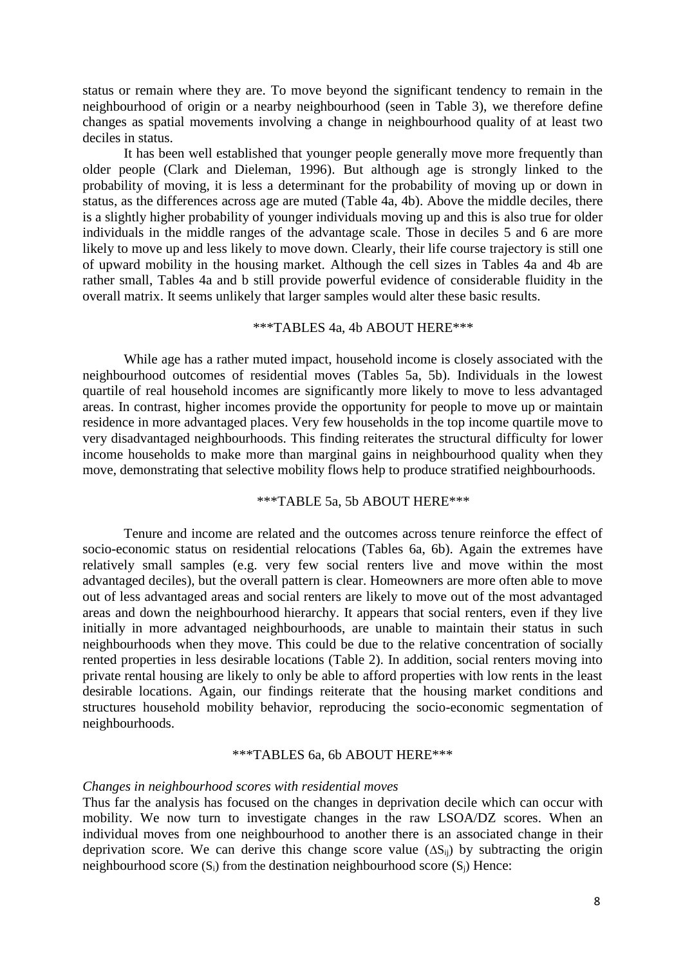status or remain where they are. To move beyond the significant tendency to remain in the neighbourhood of origin or a nearby neighbourhood (seen in Table 3), we therefore define changes as spatial movements involving a change in neighbourhood quality of at least two deciles in status.

It has been well established that younger people generally move more frequently than older people (Clark and Dieleman, 1996). But although age is strongly linked to the probability of moving, it is less a determinant for the probability of moving up or down in status, as the differences across age are muted (Table 4a, 4b). Above the middle deciles, there is a slightly higher probability of younger individuals moving up and this is also true for older individuals in the middle ranges of the advantage scale. Those in deciles 5 and 6 are more likely to move up and less likely to move down. Clearly, their life course trajectory is still one of upward mobility in the housing market. Although the cell sizes in Tables 4a and 4b are rather small, Tables 4a and b still provide powerful evidence of considerable fluidity in the overall matrix. It seems unlikely that larger samples would alter these basic results.

## \*\*\*TABLES 4a, 4b ABOUT HERE\*\*\*

While age has a rather muted impact, household income is closely associated with the neighbourhood outcomes of residential moves (Tables 5a, 5b). Individuals in the lowest quartile of real household incomes are significantly more likely to move to less advantaged areas. In contrast, higher incomes provide the opportunity for people to move up or maintain residence in more advantaged places. Very few households in the top income quartile move to very disadvantaged neighbourhoods. This finding reiterates the structural difficulty for lower income households to make more than marginal gains in neighbourhood quality when they move, demonstrating that selective mobility flows help to produce stratified neighbourhoods.

## \*\*\*TABLE 5a, 5b ABOUT HERE\*\*\*

Tenure and income are related and the outcomes across tenure reinforce the effect of socio-economic status on residential relocations (Tables 6a, 6b). Again the extremes have relatively small samples (e.g. very few social renters live and move within the most advantaged deciles), but the overall pattern is clear. Homeowners are more often able to move out of less advantaged areas and social renters are likely to move out of the most advantaged areas and down the neighbourhood hierarchy. It appears that social renters, even if they live initially in more advantaged neighbourhoods, are unable to maintain their status in such neighbourhoods when they move. This could be due to the relative concentration of socially rented properties in less desirable locations (Table 2). In addition, social renters moving into private rental housing are likely to only be able to afford properties with low rents in the least desirable locations. Again, our findings reiterate that the housing market conditions and structures household mobility behavior, reproducing the socio-economic segmentation of neighbourhoods.

### \*\*\*TABLES 6a, 6b ABOUT HERE\*\*\*

#### *Changes in neighbourhood scores with residential moves*

Thus far the analysis has focused on the changes in deprivation decile which can occur with mobility. We now turn to investigate changes in the raw LSOA/DZ scores. When an individual moves from one neighbourhood to another there is an associated change in their deprivation score. We can derive this change score value  $(\Delta S_{ii})$  by subtracting the origin neighbourhood score  $(S_i)$  from the destination neighbourhood score  $(S_i)$  Hence: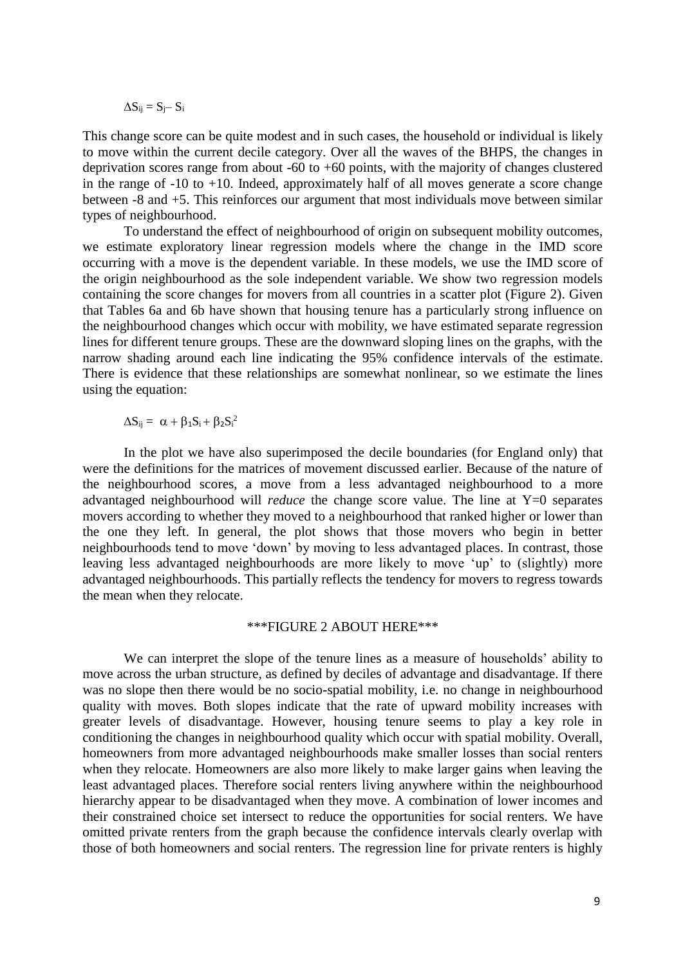$$
\Delta S_{ij} = S_j - S_i
$$

This change score can be quite modest and in such cases, the household or individual is likely to move within the current decile category. Over all the waves of the BHPS, the changes in deprivation scores range from about -60 to +60 points, with the majority of changes clustered in the range of -10 to +10. Indeed, approximately half of all moves generate a score change between -8 and +5. This reinforces our argument that most individuals move between similar types of neighbourhood.

To understand the effect of neighbourhood of origin on subsequent mobility outcomes, we estimate exploratory linear regression models where the change in the IMD score occurring with a move is the dependent variable. In these models, we use the IMD score of the origin neighbourhood as the sole independent variable. We show two regression models containing the score changes for movers from all countries in a scatter plot (Figure 2). Given that Tables 6a and 6b have shown that housing tenure has a particularly strong influence on the neighbourhood changes which occur with mobility, we have estimated separate regression lines for different tenure groups. These are the downward sloping lines on the graphs, with the narrow shading around each line indicating the 95% confidence intervals of the estimate. There is evidence that these relationships are somewhat nonlinear, so we estimate the lines using the equation:

 $\Delta S_{ij} = \alpha + \beta_1 S_i + \beta_2 S_i^2$ 

In the plot we have also superimposed the decile boundaries (for England only) that were the definitions for the matrices of movement discussed earlier. Because of the nature of the neighbourhood scores, a move from a less advantaged neighbourhood to a more advantaged neighbourhood will *reduce* the change score value. The line at Y=0 separates movers according to whether they moved to a neighbourhood that ranked higher or lower than the one they left. In general, the plot shows that those movers who begin in better neighbourhoods tend to move 'down' by moving to less advantaged places. In contrast, those leaving less advantaged neighbourhoods are more likely to move 'up' to (slightly) more advantaged neighbourhoods. This partially reflects the tendency for movers to regress towards the mean when they relocate.

### \*\*\*FIGURE 2 ABOUT HERE\*\*\*

We can interpret the slope of the tenure lines as a measure of households' ability to move across the urban structure, as defined by deciles of advantage and disadvantage. If there was no slope then there would be no socio-spatial mobility, i.e. no change in neighbourhood quality with moves. Both slopes indicate that the rate of upward mobility increases with greater levels of disadvantage. However, housing tenure seems to play a key role in conditioning the changes in neighbourhood quality which occur with spatial mobility. Overall, homeowners from more advantaged neighbourhoods make smaller losses than social renters when they relocate. Homeowners are also more likely to make larger gains when leaving the least advantaged places. Therefore social renters living anywhere within the neighbourhood hierarchy appear to be disadvantaged when they move. A combination of lower incomes and their constrained choice set intersect to reduce the opportunities for social renters. We have omitted private renters from the graph because the confidence intervals clearly overlap with those of both homeowners and social renters. The regression line for private renters is highly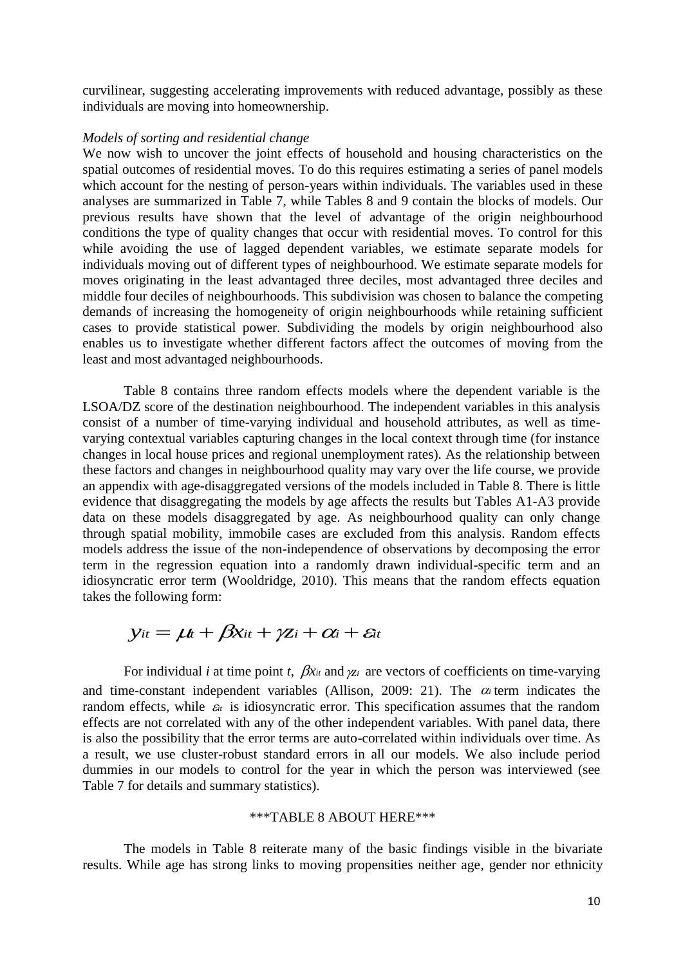curvilinear, suggesting accelerating improvements with reduced advantage, possibly as these individuals are moving into homeownership.

### *Models of sorting and residential change*

We now wish to uncover the joint effects of household and housing characteristics on the spatial outcomes of residential moves. To do this requires estimating a series of panel models which account for the nesting of person-years within individuals. The variables used in these analyses are summarized in Table 7, while Tables 8 and 9 contain the blocks of models. Our previous results have shown that the level of advantage of the origin neighbourhood conditions the type of quality changes that occur with residential moves. To control for this while avoiding the use of lagged dependent variables, we estimate separate models for individuals moving out of different types of neighbourhood. We estimate separate models for moves originating in the least advantaged three deciles, most advantaged three deciles and middle four deciles of neighbourhoods. This subdivision was chosen to balance the competing demands of increasing the homogeneity of origin neighbourhoods while retaining sufficient cases to provide statistical power. Subdividing the models by origin neighbourhood also enables us to investigate whether different factors affect the outcomes of moving from the least and most advantaged neighbourhoods.

Table 8 contains three random effects models where the dependent variable is the LSOA/DZ score of the destination neighbourhood. The independent variables in this analysis consist of a number of time-varying individual and household attributes, as well as timevarying contextual variables capturing changes in the local context through time (for instance changes in local house prices and regional unemployment rates). As the relationship between these factors and changes in neighbourhood quality may vary over the life course, we provide an appendix with age-disaggregated versions of the models included in Table 8. There is little evidence that disaggregating the models by age affects the results but Tables A1-A3 provide data on these models disaggregated by age. As neighbourhood quality can only change through spatial mobility, immobile cases are excluded from this analysis. Random effects models address the issue of the non-independence of observations by decomposing the error term in the regression equation into a randomly drawn individual-specific term and an idiosyncratic error term (Wooldridge, 2010). This means that the random effects equation takes the following form:

$$
y_{it} = \mu t + \beta x_{it} + \gamma z_i + \alpha_i + \varepsilon_i
$$

For individual *i* at time point *t*,  $\beta x_i$  and  $\gamma z_i$  are vectors of coefficients on time-varying and time-constant independent variables (Allison, 2009: 21). The  $\alpha$  term indicates the random effects, while  $\varepsilon_t$  is idiosyncratic error. This specification assumes that the random effects are not correlated with any of the other independent variables. With panel data, there is also the possibility that the error terms are auto-correlated within individuals over time. As a result, we use cluster-robust standard errors in all our models. We also include period dummies in our models to control for the year in which the person was interviewed (see Table 7 for details and summary statistics).

### \*\*\*TABLE 8 ABOUT HERE\*\*\*

The models in Table 8 reiterate many of the basic findings visible in the bivariate results. While age has strong links to moving propensities neither age, gender nor ethnicity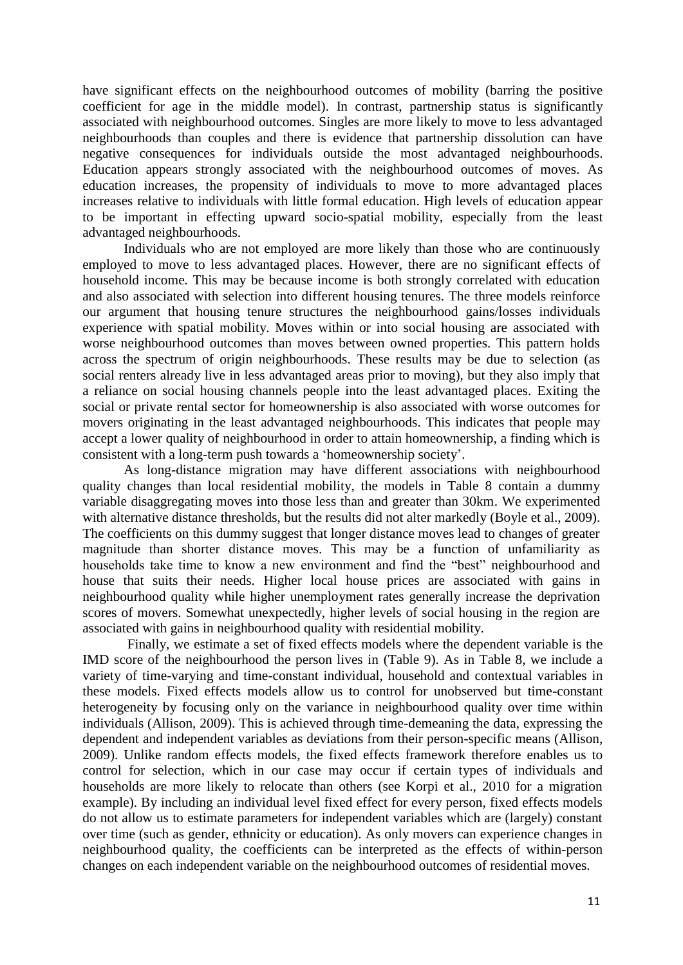have significant effects on the neighbourhood outcomes of mobility (barring the positive coefficient for age in the middle model). In contrast, partnership status is significantly associated with neighbourhood outcomes. Singles are more likely to move to less advantaged neighbourhoods than couples and there is evidence that partnership dissolution can have negative consequences for individuals outside the most advantaged neighbourhoods. Education appears strongly associated with the neighbourhood outcomes of moves. As education increases, the propensity of individuals to move to more advantaged places increases relative to individuals with little formal education. High levels of education appear to be important in effecting upward socio-spatial mobility, especially from the least advantaged neighbourhoods.

Individuals who are not employed are more likely than those who are continuously employed to move to less advantaged places. However, there are no significant effects of household income. This may be because income is both strongly correlated with education and also associated with selection into different housing tenures. The three models reinforce our argument that housing tenure structures the neighbourhood gains/losses individuals experience with spatial mobility. Moves within or into social housing are associated with worse neighbourhood outcomes than moves between owned properties. This pattern holds across the spectrum of origin neighbourhoods. These results may be due to selection (as social renters already live in less advantaged areas prior to moving), but they also imply that a reliance on social housing channels people into the least advantaged places. Exiting the social or private rental sector for homeownership is also associated with worse outcomes for movers originating in the least advantaged neighbourhoods. This indicates that people may accept a lower quality of neighbourhood in order to attain homeownership, a finding which is consistent with a long-term push towards a 'homeownership society'.

As long-distance migration may have different associations with neighbourhood quality changes than local residential mobility, the models in Table 8 contain a dummy variable disaggregating moves into those less than and greater than 30km. We experimented with alternative distance thresholds, but the results did not alter markedly (Boyle et al., 2009). The coefficients on this dummy suggest that longer distance moves lead to changes of greater magnitude than shorter distance moves. This may be a function of unfamiliarity as households take time to know a new environment and find the "best" neighbourhood and house that suits their needs. Higher local house prices are associated with gains in neighbourhood quality while higher unemployment rates generally increase the deprivation scores of movers. Somewhat unexpectedly, higher levels of social housing in the region are associated with gains in neighbourhood quality with residential mobility.

Finally, we estimate a set of fixed effects models where the dependent variable is the IMD score of the neighbourhood the person lives in (Table 9). As in Table 8, we include a variety of time-varying and time-constant individual, household and contextual variables in these models. Fixed effects models allow us to control for unobserved but time-constant heterogeneity by focusing only on the variance in neighbourhood quality over time within individuals (Allison, 2009). This is achieved through time-demeaning the data, expressing the dependent and independent variables as deviations from their person-specific means (Allison, 2009). Unlike random effects models, the fixed effects framework therefore enables us to control for selection, which in our case may occur if certain types of individuals and households are more likely to relocate than others (see Korpi et al., 2010 for a migration example). By including an individual level fixed effect for every person, fixed effects models do not allow us to estimate parameters for independent variables which are (largely) constant over time (such as gender, ethnicity or education). As only movers can experience changes in neighbourhood quality, the coefficients can be interpreted as the effects of within-person changes on each independent variable on the neighbourhood outcomes of residential moves.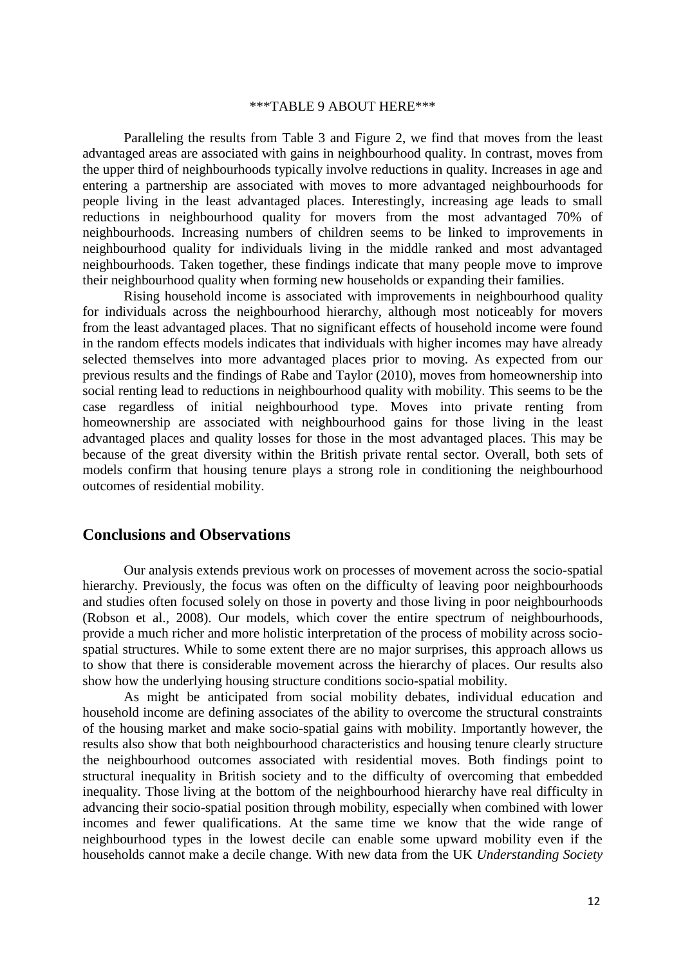### \*\*\*TABLE 9 ABOUT HERE\*\*\*

Paralleling the results from Table 3 and Figure 2, we find that moves from the least advantaged areas are associated with gains in neighbourhood quality. In contrast, moves from the upper third of neighbourhoods typically involve reductions in quality. Increases in age and entering a partnership are associated with moves to more advantaged neighbourhoods for people living in the least advantaged places. Interestingly, increasing age leads to small reductions in neighbourhood quality for movers from the most advantaged 70% of neighbourhoods. Increasing numbers of children seems to be linked to improvements in neighbourhood quality for individuals living in the middle ranked and most advantaged neighbourhoods. Taken together, these findings indicate that many people move to improve their neighbourhood quality when forming new households or expanding their families.

Rising household income is associated with improvements in neighbourhood quality for individuals across the neighbourhood hierarchy, although most noticeably for movers from the least advantaged places. That no significant effects of household income were found in the random effects models indicates that individuals with higher incomes may have already selected themselves into more advantaged places prior to moving. As expected from our previous results and the findings of Rabe and Taylor (2010), moves from homeownership into social renting lead to reductions in neighbourhood quality with mobility. This seems to be the case regardless of initial neighbourhood type. Moves into private renting from homeownership are associated with neighbourhood gains for those living in the least advantaged places and quality losses for those in the most advantaged places. This may be because of the great diversity within the British private rental sector. Overall, both sets of models confirm that housing tenure plays a strong role in conditioning the neighbourhood outcomes of residential mobility.

## **Conclusions and Observations**

Our analysis extends previous work on processes of movement across the socio-spatial hierarchy. Previously, the focus was often on the difficulty of leaving poor neighbourhoods and studies often focused solely on those in poverty and those living in poor neighbourhoods (Robson et al., 2008). Our models, which cover the entire spectrum of neighbourhoods, provide a much richer and more holistic interpretation of the process of mobility across sociospatial structures. While to some extent there are no major surprises, this approach allows us to show that there is considerable movement across the hierarchy of places. Our results also show how the underlying housing structure conditions socio-spatial mobility*.*

As might be anticipated from social mobility debates, individual education and household income are defining associates of the ability to overcome the structural constraints of the housing market and make socio-spatial gains with mobility. Importantly however, the results also show that both neighbourhood characteristics and housing tenure clearly structure the neighbourhood outcomes associated with residential moves. Both findings point to structural inequality in British society and to the difficulty of overcoming that embedded inequality. Those living at the bottom of the neighbourhood hierarchy have real difficulty in advancing their socio-spatial position through mobility, especially when combined with lower incomes and fewer qualifications. At the same time we know that the wide range of neighbourhood types in the lowest decile can enable some upward mobility even if the households cannot make a decile change. With new data from the UK *Understanding Society*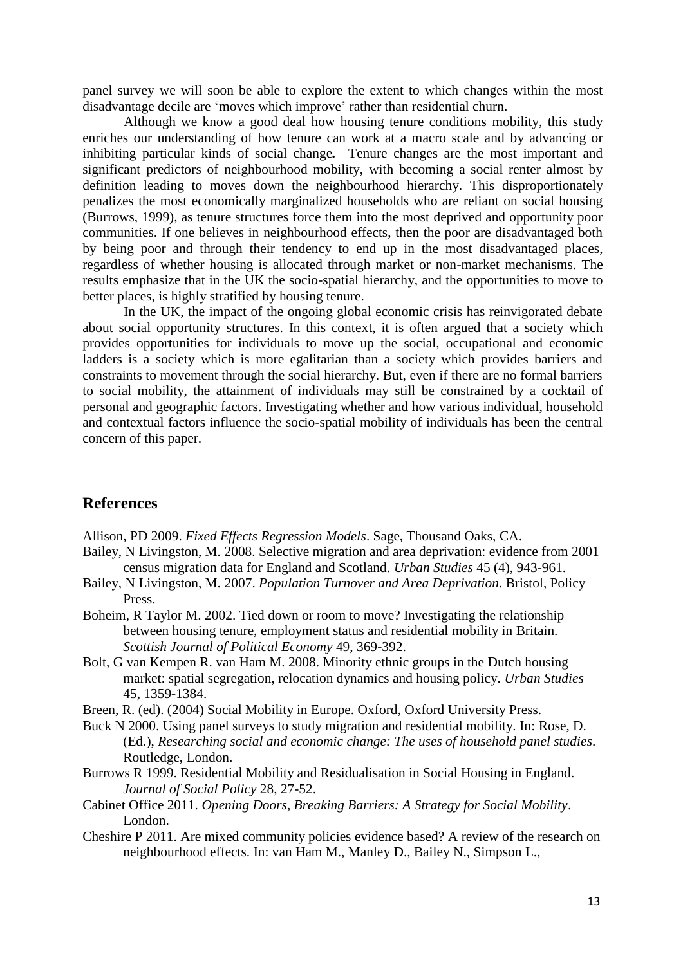panel survey we will soon be able to explore the extent to which changes within the most disadvantage decile are 'moves which improve' rather than residential churn.

Although we know a good deal how housing tenure conditions mobility, this study enriches our understanding of how tenure can work at a macro scale and by advancing or inhibiting particular kinds of social change*.* Tenure changes are the most important and significant predictors of neighbourhood mobility, with becoming a social renter almost by definition leading to moves down the neighbourhood hierarchy. This disproportionately penalizes the most economically marginalized households who are reliant on social housing (Burrows, 1999), as tenure structures force them into the most deprived and opportunity poor communities. If one believes in neighbourhood effects, then the poor are disadvantaged both by being poor and through their tendency to end up in the most disadvantaged places, regardless of whether housing is allocated through market or non-market mechanisms. The results emphasize that in the UK the socio-spatial hierarchy, and the opportunities to move to better places, is highly stratified by housing tenure.

In the UK, the impact of the ongoing global economic crisis has reinvigorated debate about social opportunity structures. In this context, it is often argued that a society which provides opportunities for individuals to move up the social, occupational and economic ladders is a society which is more egalitarian than a society which provides barriers and constraints to movement through the social hierarchy. But, even if there are no formal barriers to social mobility, the attainment of individuals may still be constrained by a cocktail of personal and geographic factors. Investigating whether and how various individual, household and contextual factors influence the socio-spatial mobility of individuals has been the central concern of this paper.

# **References**

Allison, PD 2009. *Fixed Effects Regression Models*. Sage, Thousand Oaks, CA.

- Bailey, N Livingston, M. 2008. Selective migration and area deprivation: evidence from 2001 census migration data for England and Scotland. *Urban Studies* 45 (4), 943-961.
- Bailey, N Livingston, M. 2007. *Population Turnover and Area Deprivation*. Bristol, Policy Press.
- Boheim, R Taylor M. 2002. Tied down or room to move? Investigating the relationship between housing tenure, employment status and residential mobility in Britain. *Scottish Journal of Political Economy* 49, 369-392.
- Bolt, G van Kempen R. van Ham M. 2008. Minority ethnic groups in the Dutch housing market: spatial segregation, relocation dynamics and housing policy. *Urban Studies* 45, 1359-1384.
- Breen, R. (ed). (2004) Social Mobility in Europe. Oxford, Oxford University Press.
- Buck N 2000. Using panel surveys to study migration and residential mobility. In: Rose, D. (Ed.), *Researching social and economic change: The uses of household panel studies*. Routledge, London.
- Burrows R 1999. Residential Mobility and Residualisation in Social Housing in England. *Journal of Social Policy* 28, 27-52.
- Cabinet Office 2011. *Opening Doors, Breaking Barriers: A Strategy for Social Mobility*. London.
- Cheshire P 2011. Are mixed community policies evidence based? A review of the research on neighbourhood effects. In: van Ham M., Manley D., Bailey N., Simpson L.,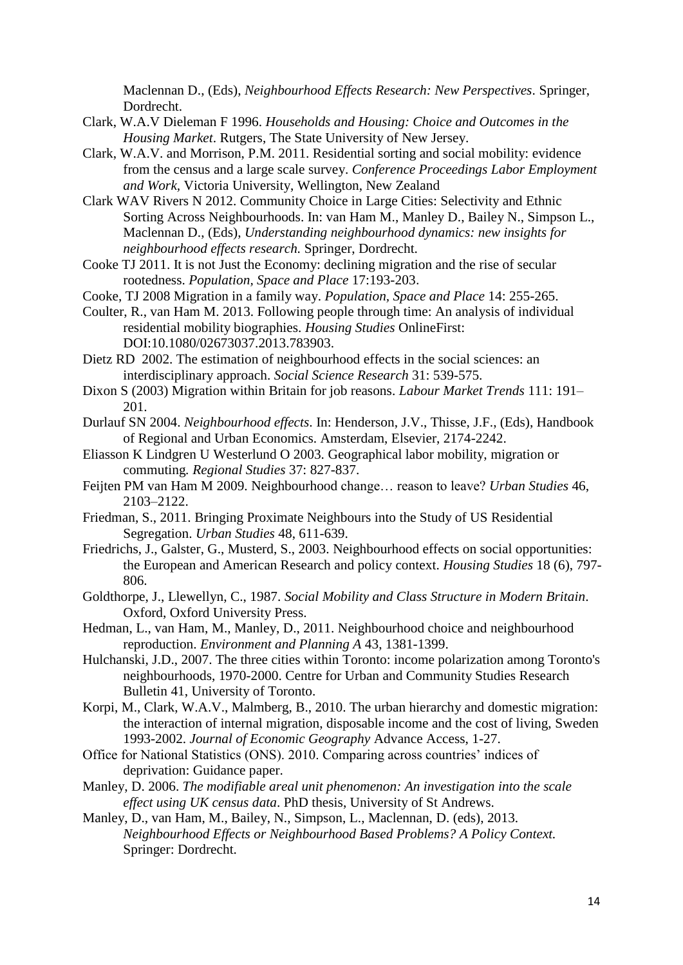Maclennan D., (Eds), *Neighbourhood Effects Research: New Perspectives*. Springer, Dordrecht.

- Clark, W.A.V Dieleman F 1996. *Households and Housing: Choice and Outcomes in the Housing Market*. Rutgers, The State University of New Jersey.
- Clark, W.A.V. and Morrison, P.M. 2011. Residential sorting and social mobility: evidence from the census and a large scale survey. *Conference Proceedings Labor Employment and Work,* Victoria University, Wellington, New Zealand
- Clark WAV Rivers N 2012. Community Choice in Large Cities: Selectivity and Ethnic Sorting Across Neighbourhoods. In: van Ham M., Manley D., Bailey N., Simpson L., Maclennan D., (Eds), *Understanding neighbourhood dynamics: new insights for neighbourhood effects research.* Springer, Dordrecht.
- Cooke TJ 2011. It is not Just the Economy: declining migration and the rise of secular rootedness. *Population, Space and Place* 17:193-203.
- Cooke, TJ 2008 Migration in a family way. *Population, Space and Place* 14: 255-265.
- Coulter, R., van Ham M. 2013. Following people through time: An analysis of individual residential mobility biographies. *Housing Studies* OnlineFirst: DOI:10.1080/02673037.2013.783903.
- Dietz RD 2002. The estimation of neighbourhood effects in the social sciences: an interdisciplinary approach. *Social Science Research* 31: 539-575.
- Dixon S (2003) Migration within Britain for job reasons. *Labour Market Trends* 111: 191– 201.
- Durlauf SN 2004. *Neighbourhood effects*. In: Henderson, J.V., Thisse, J.F., (Eds), Handbook of Regional and Urban Economics. Amsterdam, Elsevier, 2174-2242.
- Eliasson K Lindgren U Westerlund O 2003. Geographical labor mobility, migration or commuting*. Regional Studies* 37: 827-837.
- Feijten PM van Ham M 2009. Neighbourhood change… reason to leave? *Urban Studies* 46, 2103–2122.
- Friedman, S., 2011. Bringing Proximate Neighbours into the Study of US Residential Segregation. *Urban Studies* 48, 611-639.
- Friedrichs, J., Galster, G., Musterd, S., 2003. Neighbourhood effects on social opportunities: the European and American Research and policy context. *Housing Studies* 18 (6), 797- 806.
- Goldthorpe, J., Llewellyn, C., 1987. *Social Mobility and Class Structure in Modern Britain*. Oxford, Oxford University Press.
- Hedman, L., van Ham, M., Manley, D., 2011. Neighbourhood choice and neighbourhood reproduction. *Environment and Planning A* 43, 1381-1399.
- Hulchanski, J.D., 2007. The three cities within Toronto: income polarization among Toronto's neighbourhoods, 1970-2000. Centre for Urban and Community Studies Research Bulletin 41, University of Toronto.
- Korpi, M., Clark, W.A.V., Malmberg, B., 2010. The urban hierarchy and domestic migration: the interaction of internal migration, disposable income and the cost of living, Sweden 1993-2002. *Journal of Economic Geography* Advance Access, 1-27.
- Office for National Statistics (ONS). 2010. Comparing across countries' indices of deprivation: Guidance paper.
- Manley, D. 2006. *The modifiable areal unit phenomenon: An investigation into the scale effect using UK census data*. PhD thesis, University of St Andrews.
- Manley, D., van Ham, M., Bailey, N., Simpson, L., Maclennan, D. (eds), 2013. *Neighbourhood Effects or Neighbourhood Based Problems? A Policy Context.* Springer: Dordrecht.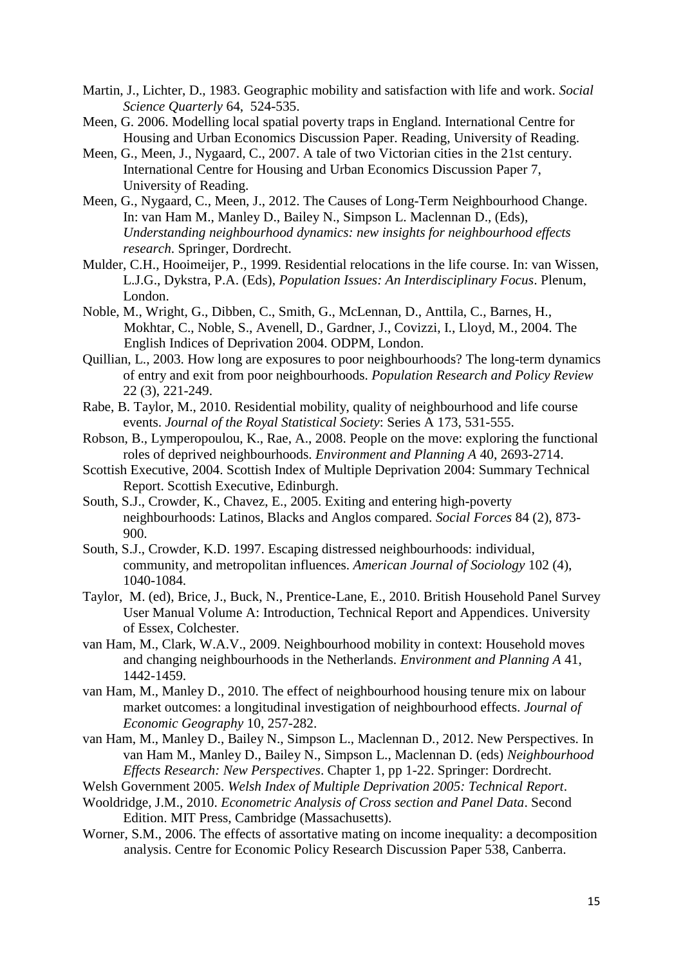- Martin, J., Lichter, D., 1983. Geographic mobility and satisfaction with life and work. *Social Science Quarterly* 64, 524-535.
- Meen, G. 2006. Modelling local spatial poverty traps in England. International Centre for Housing and Urban Economics Discussion Paper. Reading, University of Reading.
- Meen, G., Meen, J., Nygaard, C., 2007. A tale of two Victorian cities in the 21st century. International Centre for Housing and Urban Economics Discussion Paper 7, University of Reading.
- Meen, G., Nygaard, C., Meen, J., 2012. The Causes of Long-Term Neighbourhood Change. In: van Ham M., Manley D., Bailey N., Simpson L. Maclennan D., (Eds), *Understanding neighbourhood dynamics: new insights for neighbourhood effects research*. Springer, Dordrecht.
- Mulder, C.H., Hooimeijer, P., 1999. Residential relocations in the life course. In: van Wissen, L.J.G., Dykstra, P.A. (Eds), *Population Issues: An Interdisciplinary Focus*. Plenum, London.
- Noble, M., Wright, G., Dibben, C., Smith, G., McLennan, D., Anttila, C., Barnes, H., Mokhtar, C., Noble, S., Avenell, D., Gardner, J., Covizzi, I., Lloyd, M., 2004. The English Indices of Deprivation 2004. ODPM, London.
- Quillian, L., 2003. How long are exposures to poor neighbourhoods? The long-term dynamics of entry and exit from poor neighbourhoods. *Population Research and Policy Review* 22 (3), 221-249.
- Rabe, B. Taylor, M., 2010. Residential mobility, quality of neighbourhood and life course events. *Journal of the Royal Statistical Society*: Series A 173, 531-555.
- Robson, B., Lymperopoulou, K., Rae, A., 2008. People on the move: exploring the functional roles of deprived neighbourhoods. *Environment and Planning A* 40, 2693-2714.
- Scottish Executive, 2004. Scottish Index of Multiple Deprivation 2004: Summary Technical Report. Scottish Executive, Edinburgh.
- South, S.J., Crowder, K., Chavez, E., 2005. Exiting and entering high-poverty neighbourhoods: Latinos, Blacks and Anglos compared. *Social Forces* 84 (2), 873- 900.
- South, S.J., Crowder, K.D. 1997. Escaping distressed neighbourhoods: individual, community, and metropolitan influences. *American Journal of Sociology* 102 (4), 1040-1084.
- Taylor, M. (ed), Brice, J., Buck, N., Prentice-Lane, E., 2010. British Household Panel Survey User Manual Volume A: Introduction, Technical Report and Appendices. University of Essex, Colchester.
- van Ham, M., Clark, W.A.V., 2009. Neighbourhood mobility in context: Household moves and changing neighbourhoods in the Netherlands. *Environment and Planning A* 41, 1442-1459.
- van Ham, M., Manley D., 2010. The effect of neighbourhood housing tenure mix on labour market outcomes: a longitudinal investigation of neighbourhood effects. *Journal of Economic Geography* 10, 257-282.
- van Ham, M., Manley D., Bailey N., Simpson L., Maclennan D., 2012. New Perspectives. In van Ham M., Manley D., Bailey N., Simpson L., Maclennan D. (eds) *Neighbourhood Effects Research: New Perspectives*. Chapter 1, pp 1-22. Springer: Dordrecht.
- Welsh Government 2005. *Welsh Index of Multiple Deprivation 2005: Technical Report*.
- Wooldridge, J.M., 2010. *Econometric Analysis of Cross section and Panel Data*. Second Edition. MIT Press, Cambridge (Massachusetts).
- Worner, S.M., 2006. The effects of assortative mating on income inequality: a decomposition analysis. Centre for Economic Policy Research Discussion Paper 538, Canberra.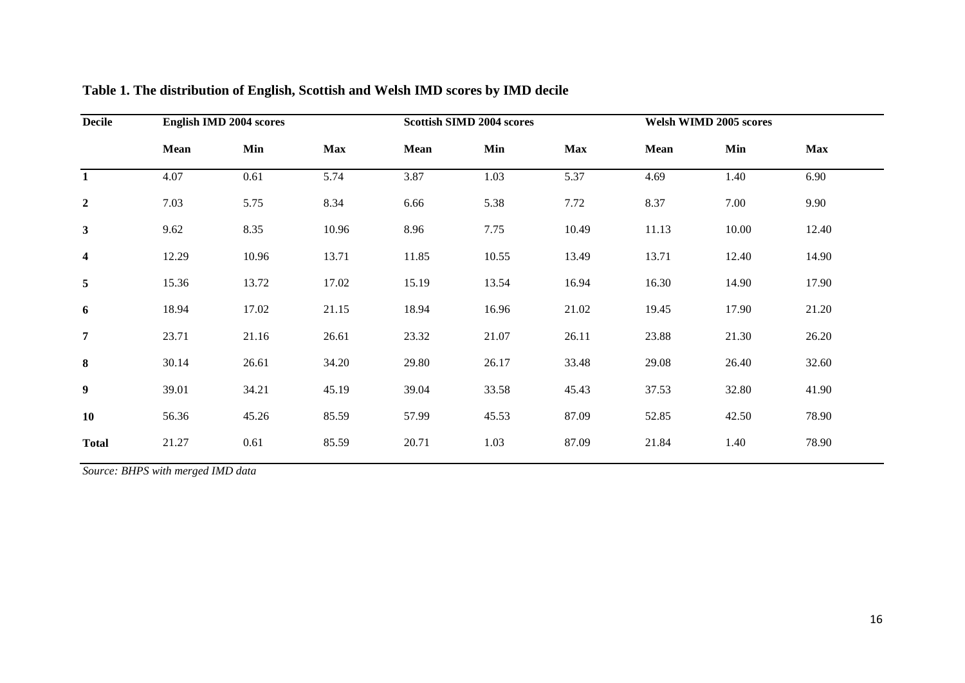| <b>Decile</b>    | <b>English IMD 2004 scores</b> |       |            | <b>Scottish SIMD 2004 scores</b> |       |            | <b>Welsh WIMD 2005 scores</b> |       |            |
|------------------|--------------------------------|-------|------------|----------------------------------|-------|------------|-------------------------------|-------|------------|
|                  | Mean                           | Min   | <b>Max</b> | <b>Mean</b>                      | Min   | <b>Max</b> | Mean                          | Min   | <b>Max</b> |
| $\mathbf{1}$     | 4.07                           | 0.61  | 5.74       | 3.87                             | 1.03  | 5.37       | 4.69                          | 1.40  | 6.90       |
| $\overline{2}$   | 7.03                           | 5.75  | 8.34       | 6.66                             | 5.38  | 7.72       | 8.37                          | 7.00  | 9.90       |
| $\mathbf{3}$     | 9.62                           | 8.35  | 10.96      | 8.96                             | 7.75  | 10.49      | 11.13                         | 10.00 | 12.40      |
| $\boldsymbol{4}$ | 12.29                          | 10.96 | 13.71      | 11.85                            | 10.55 | 13.49      | 13.71                         | 12.40 | 14.90      |
| $\overline{5}$   | 15.36                          | 13.72 | 17.02      | 15.19                            | 13.54 | 16.94      | 16.30                         | 14.90 | 17.90      |
| 6                | 18.94                          | 17.02 | 21.15      | 18.94                            | 16.96 | 21.02      | 19.45                         | 17.90 | 21.20      |
| $\overline{7}$   | 23.71                          | 21.16 | 26.61      | 23.32                            | 21.07 | 26.11      | 23.88                         | 21.30 | 26.20      |
| 8                | 30.14                          | 26.61 | 34.20      | 29.80                            | 26.17 | 33.48      | 29.08                         | 26.40 | 32.60      |
| $\boldsymbol{9}$ | 39.01                          | 34.21 | 45.19      | 39.04                            | 33.58 | 45.43      | 37.53                         | 32.80 | 41.90      |
| <b>10</b>        | 56.36                          | 45.26 | 85.59      | 57.99                            | 45.53 | 87.09      | 52.85                         | 42.50 | 78.90      |
| <b>Total</b>     | 21.27                          | 0.61  | 85.59      | 20.71                            | 1.03  | 87.09      | 21.84                         | 1.40  | 78.90      |

# **Table 1. The distribution of English, Scottish and Welsh IMD scores by IMD decile**

*Source: BHPS with merged IMD data*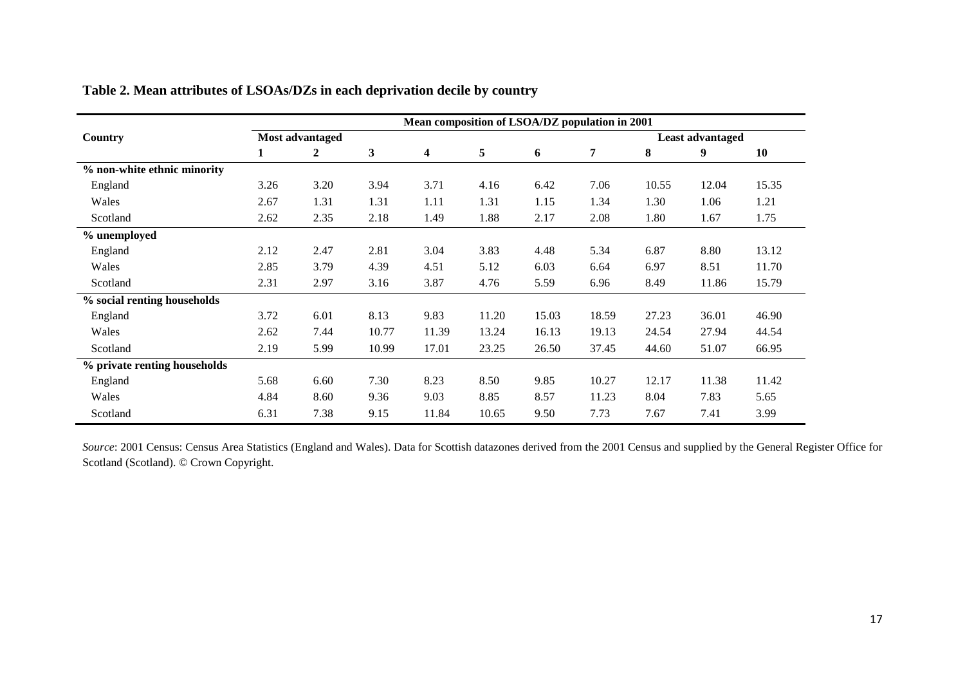|                              | Mean composition of LSOA/DZ population in 2001 |                 |              |                         |       |       |       |       |                         |       |  |  |
|------------------------------|------------------------------------------------|-----------------|--------------|-------------------------|-------|-------|-------|-------|-------------------------|-------|--|--|
| Country                      |                                                | Most advantaged |              |                         |       |       |       |       | <b>Least advantaged</b> |       |  |  |
|                              | 1                                              | 2               | $\mathbf{3}$ | $\overline{\mathbf{4}}$ | 5     | 6     | 7     | 8     | 9                       | 10    |  |  |
| % non-white ethnic minority  |                                                |                 |              |                         |       |       |       |       |                         |       |  |  |
| England                      | 3.26                                           | 3.20            | 3.94         | 3.71                    | 4.16  | 6.42  | 7.06  | 10.55 | 12.04                   | 15.35 |  |  |
| Wales                        | 2.67                                           | 1.31            | 1.31         | 1.11                    | 1.31  | 1.15  | 1.34  | 1.30  | 1.06                    | 1.21  |  |  |
| Scotland                     | 2.62                                           | 2.35            | 2.18         | 1.49                    | 1.88  | 2.17  | 2.08  | 1.80  | 1.67                    | 1.75  |  |  |
| % unemployed                 |                                                |                 |              |                         |       |       |       |       |                         |       |  |  |
| England                      | 2.12                                           | 2.47            | 2.81         | 3.04                    | 3.83  | 4.48  | 5.34  | 6.87  | 8.80                    | 13.12 |  |  |
| Wales                        | 2.85                                           | 3.79            | 4.39         | 4.51                    | 5.12  | 6.03  | 6.64  | 6.97  | 8.51                    | 11.70 |  |  |
| Scotland                     | 2.31                                           | 2.97            | 3.16         | 3.87                    | 4.76  | 5.59  | 6.96  | 8.49  | 11.86                   | 15.79 |  |  |
| % social renting households  |                                                |                 |              |                         |       |       |       |       |                         |       |  |  |
| England                      | 3.72                                           | 6.01            | 8.13         | 9.83                    | 11.20 | 15.03 | 18.59 | 27.23 | 36.01                   | 46.90 |  |  |
| Wales                        | 2.62                                           | 7.44            | 10.77        | 11.39                   | 13.24 | 16.13 | 19.13 | 24.54 | 27.94                   | 44.54 |  |  |
| Scotland                     | 2.19                                           | 5.99            | 10.99        | 17.01                   | 23.25 | 26.50 | 37.45 | 44.60 | 51.07                   | 66.95 |  |  |
| % private renting households |                                                |                 |              |                         |       |       |       |       |                         |       |  |  |
| England                      | 5.68                                           | 6.60            | 7.30         | 8.23                    | 8.50  | 9.85  | 10.27 | 12.17 | 11.38                   | 11.42 |  |  |
| Wales                        | 4.84                                           | 8.60            | 9.36         | 9.03                    | 8.85  | 8.57  | 11.23 | 8.04  | 7.83                    | 5.65  |  |  |
| Scotland                     | 6.31                                           | 7.38            | 9.15         | 11.84                   | 10.65 | 9.50  | 7.73  | 7.67  | 7.41                    | 3.99  |  |  |

**Table 2. Mean attributes of LSOAs/DZs in each deprivation decile by country** 

*Source*: 2001 Census: Census Area Statistics (England and Wales). Data for Scottish datazones derived from the 2001 Census and supplied by the General Register Office for Scotland (Scotland). © Crown Copyright.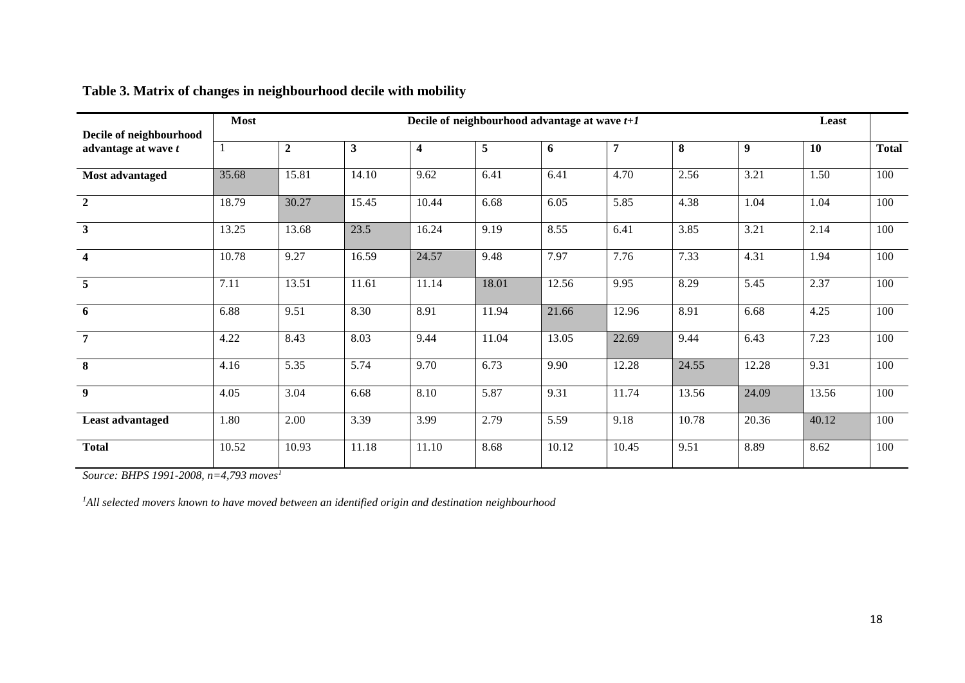| Decile of neighbourhood | <b>Most</b> |       |       |       |       | Decile of neighbourhood advantage at wave $t+1$ |       |       |       | Least     |              |
|-------------------------|-------------|-------|-------|-------|-------|-------------------------------------------------|-------|-------|-------|-----------|--------------|
| advantage at wave t     | -1          | 2     | 3     | 4     | 5     | 6                                               | 7     | 8     | 9     | <b>10</b> | <b>Total</b> |
| Most advantaged         | 35.68       | 15.81 | 14.10 | 9.62  | 6.41  | 6.41                                            | 4.70  | 2.56  | 3.21  | 1.50      | 100          |
| $\overline{2}$          | 18.79       | 30.27 | 15.45 | 10.44 | 6.68  | 6.05                                            | 5.85  | 4.38  | 1.04  | 1.04      | 100          |
| 3                       | 13.25       | 13.68 | 23.5  | 16.24 | 9.19  | 8.55                                            | 6.41  | 3.85  | 3.21  | 2.14      | 100          |
| $\overline{\mathbf{4}}$ | 10.78       | 9.27  | 16.59 | 24.57 | 9.48  | 7.97                                            | 7.76  | 7.33  | 4.31  | 1.94      | 100          |
| $\overline{5}$          | 7.11        | 13.51 | 11.61 | 11.14 | 18.01 | 12.56                                           | 9.95  | 8.29  | 5.45  | 2.37      | 100          |
| 6                       | 6.88        | 9.51  | 8.30  | 8.91  | 11.94 | 21.66                                           | 12.96 | 8.91  | 6.68  | 4.25      | 100          |
| $\overline{7}$          | 4.22        | 8.43  | 8.03  | 9.44  | 11.04 | 13.05                                           | 22.69 | 9.44  | 6.43  | 7.23      | 100          |
| 8                       | 4.16        | 5.35  | 5.74  | 9.70  | 6.73  | 9.90                                            | 12.28 | 24.55 | 12.28 | 9.31      | 100          |
| $\boldsymbol{9}$        | 4.05        | 3.04  | 6.68  | 8.10  | 5.87  | 9.31                                            | 11.74 | 13.56 | 24.09 | 13.56     | 100          |
| Least advantaged        | 1.80        | 2.00  | 3.39  | 3.99  | 2.79  | 5.59                                            | 9.18  | 10.78 | 20.36 | 40.12     | 100          |
| <b>Total</b>            | 10.52       | 10.93 | 11.18 | 11.10 | 8.68  | 10.12                                           | 10.45 | 9.51  | 8.89  | 8.62      | 100          |

# **Table 3. Matrix of changes in neighbourhood decile with mobility**

*Source: BHPS 1991-2008, n=4,793 moves<sup>1</sup>*

*1All selected movers known to have moved between an identified origin and destination neighbourhood*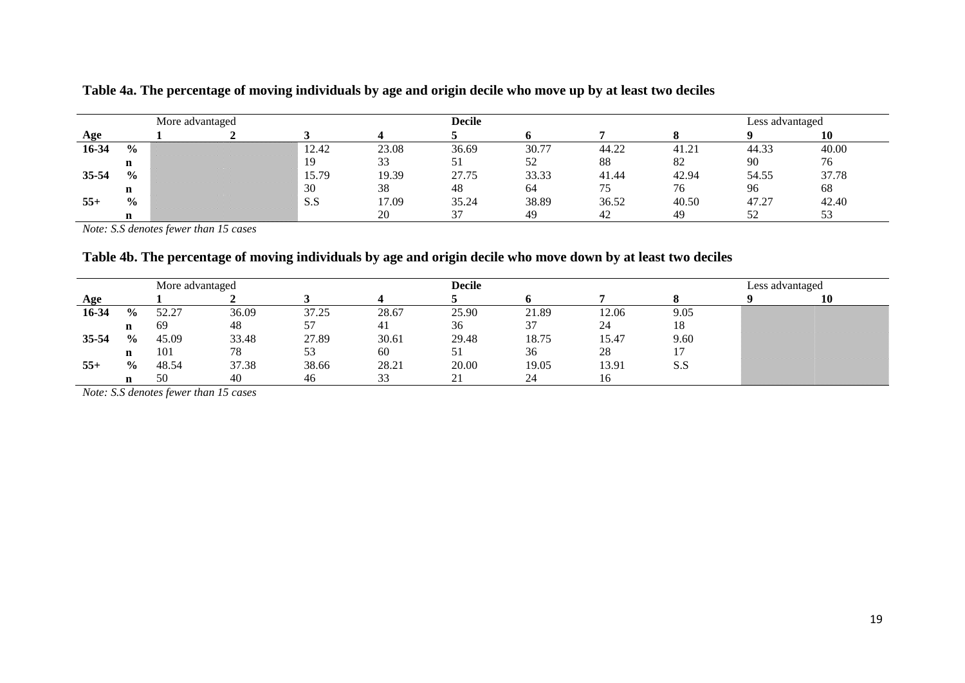|           | More advantaged |  |  |       | <b>Decile</b> |       |       |       | Less advantaged |       |       |  |
|-----------|-----------------|--|--|-------|---------------|-------|-------|-------|-----------------|-------|-------|--|
| Age       |                 |  |  |       |               |       |       |       |                 |       |       |  |
| 16-34     | $\frac{6}{9}$   |  |  | 12.42 | 23.08         | 36.69 | 30.77 | 44.22 | 41.21           | 44.33 | 40.00 |  |
|           | $\mathbf n$     |  |  | 19    | 33            |       |       | 88    | 82              | 90    | 76    |  |
| $35 - 54$ | $\frac{6}{9}$   |  |  | 15.79 | 19.39         | 27.75 | 33.33 | 41.44 | 42.94           | 54.55 | 37.78 |  |
|           | $\mathbf n$     |  |  | 30    | 38            | 48    | 64    |       | 76              | 96    | 68    |  |
| $55+$     | $\frac{0}{0}$   |  |  | S.S   | 17.09         | 35.24 | 38.89 | 36.52 | 40.50           | 47.27 | 42.40 |  |
|           | $\mathbf n$     |  |  |       | 20            |       | 49    | 42    | 49              | 52    | ັບ    |  |

**Table 4a. The percentage of moving individuals by age and origin decile who move up by at least two deciles**

*Note: S.S denotes fewer than 15 cases*

# **Table 4b. The percentage of moving individuals by age and origin decile who move down by at least two deciles**

|           | More advantaged |       |       |       |       |       | <b>Decile</b> |       |      |  | Less advantaged |  |  |
|-----------|-----------------|-------|-------|-------|-------|-------|---------------|-------|------|--|-----------------|--|--|
| Age       |                 |       |       |       |       |       |               |       |      |  | 10              |  |  |
| 16-34     | $\frac{0}{0}$   | 52.27 | 36.09 | 37.25 | 28.67 | 25.90 | 21.89         | 12.06 | 9.05 |  |                 |  |  |
|           | n               | 69    | 48    | 57    | -41   | 36    | 37            | 24    | 18   |  |                 |  |  |
| $35 - 54$ | $\frac{0}{0}$   | 45.09 | 33.48 | 27.89 | 30.61 | 29.48 | 18.75         | 15.47 | 9.60 |  |                 |  |  |
|           | n               | 101   | 78    | 53    | 60    |       | 36            | 28    |      |  |                 |  |  |
| $55+$     | $\frac{0}{0}$   | 48.54 | 37.38 | 38.66 | 28.21 | 20.00 | 19.05         | 13.91 | S.S  |  |                 |  |  |
|           |                 | 50    | 40    | 46    | 33    | 41    | 24            | 16    |      |  |                 |  |  |

*Note: S.S denotes fewer than 15 cases*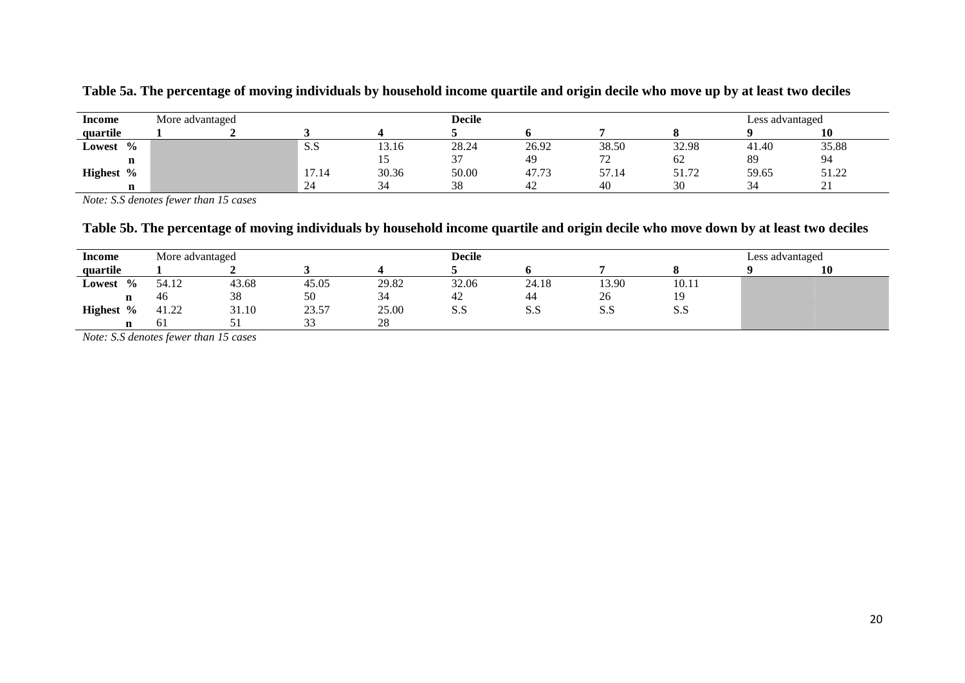| Income       | More advantaged |      |       | <b>Decile</b> |       |                                 |       | Less advantaged |       |
|--------------|-----------------|------|-------|---------------|-------|---------------------------------|-------|-----------------|-------|
| quartile     |                 |      |       |               |       |                                 |       |                 |       |
| Lowest %     |                 | د د  | 13.16 | 28.24         | 26.92 | 38.50                           | 32.98 | 41.40           | 35.88 |
| n            |                 |      |       | $\sim$        | 49    | $\overline{\phantom{a}}$<br>ے ا | 62    | 89              | 94    |
| Highest $\%$ |                 | . 14 | 30.36 | 50.00         | 47.73 | 57.14                           | 51.72 | 59.65           | 51.22 |
| $\mathbf n$  |                 | 24   | 34    | 38            | 42    | 40                              | 30    | 34              | ∠⊥    |

**Table 5a. The percentage of moving individuals by household income quartile and origin decile who move up by at least two deciles**

*Note: S.S denotes fewer than 15 cases*

## **Table 5b. The percentage of moving individuals by household income quartile and origin decile who move down by at least two deciles**

| Income                           | More advantaged |       |              |       | <b>Decile</b> |                      |       |       | Less advantaged |    |  |
|----------------------------------|-----------------|-------|--------------|-------|---------------|----------------------|-------|-------|-----------------|----|--|
| quartile                         |                 |       |              |       |               |                      |       |       |                 | 10 |  |
| $\frac{6}{10}$<br>Lowest         | 54.12           | 43.68 | 45.05        | 29.82 | 32.06         | 24.18                | 13.90 | 10.11 |                 |    |  |
| n                                | 46              | 38    | 50           | 34    | $+2$          | 44                   | 26    |       |                 |    |  |
| $\frac{6}{10}$<br><b>Highest</b> | 41.22           | 31.10 | 23.57        | 25.00 | S.S           | $\sim$ $\sim$<br>5.9 | S.S   | S.S   |                 |    |  |
| n                                | O.              | ັນ    | $\sim$<br>33 | 28    |               |                      |       |       |                 |    |  |

*Note: S.S denotes fewer than 15 cases*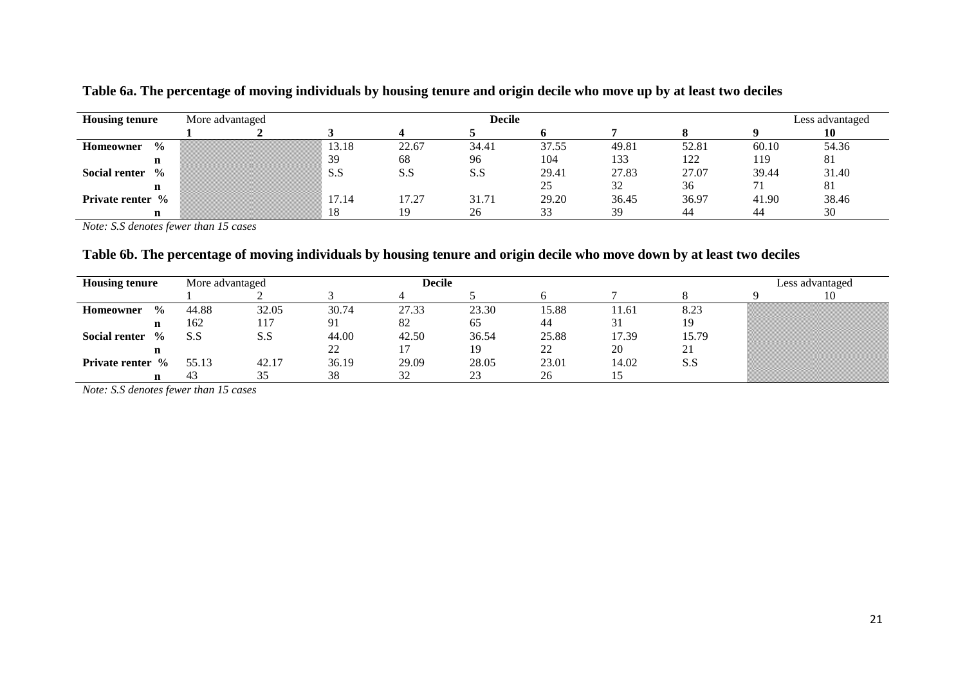| <b>Housing tenure</b>                 | More advantaged |       |       | <b>Decile</b> |       |       |       |       | Less advantaged |
|---------------------------------------|-----------------|-------|-------|---------------|-------|-------|-------|-------|-----------------|
|                                       |                 |       |       |               |       |       |       |       | 10              |
| $\frac{0}{0}$<br><b>Homeowner</b>     |                 | 13.18 | 22.67 | 34.41         | 37.55 | 49.81 | 52.81 | 60.10 | 54.36           |
| n                                     |                 | 39    | 68    | 96            | 104   | 133   | 122   | 119   | 81              |
| $\frac{0}{0}$<br><b>Social renter</b> |                 | S.S   | S.S   | S.S           | 29.41 | 27.83 | 27.07 | 39.44 | 31.40           |
| $\mathbf n$                           |                 |       |       |               | 25    | 32    | 36    |       | 81              |
| <b>Private renter</b> %               |                 | 17.14 | 17.27 | 31.71         | 29.20 | 36.45 | 36.97 | 41.90 | 38.46           |
| n                                     |                 | 18    | 19    | 26            | 33    | 39    | 44    | 44    | 30              |

**Table 6a. The percentage of moving individuals by housing tenure and origin decile who move up by at least two deciles**

*Note: S.S denotes fewer than 15 cases*

## **Table 6b. The percentage of moving individuals by housing tenure and origin decile who move down by at least two deciles**

|                         | <b>Housing tenure</b> |       | More advantaged |       | <b>Decile</b> |       |       |       |       | Less advantaged |    |  |
|-------------------------|-----------------------|-------|-----------------|-------|---------------|-------|-------|-------|-------|-----------------|----|--|
|                         |                       |       |                 |       |               |       |       |       |       |                 | 10 |  |
| Homeowner               | $\frac{6}{9}$         | 44.88 | 32.05           | 30.74 | 27.33         | 23.30 | 15.88 | 11.61 | 8.23  |                 |    |  |
|                         | n                     | 162   | 117             | 91    | 82            | 65    | 44    | 31    | 19    |                 |    |  |
| <b>Social renter</b>    | $\frac{0}{0}$         | S.S   | S.S             | 44.00 | 42.50         | 36.54 | 25.88 | 17.39 | 15.79 |                 |    |  |
|                         | n                     |       |                 | 22    |               | 19    | 22    | 20    | 21    |                 |    |  |
| <b>Private renter</b> % |                       | 55.13 | 42.17           | 36.19 | 29.09         | 28.05 | 23.01 | 14.02 | S.S   |                 |    |  |
|                         | n                     | 43    | 35              | 38    | 32            | 23    | 26    |       |       |                 |    |  |

*Note: S.S denotes fewer than 15 cases*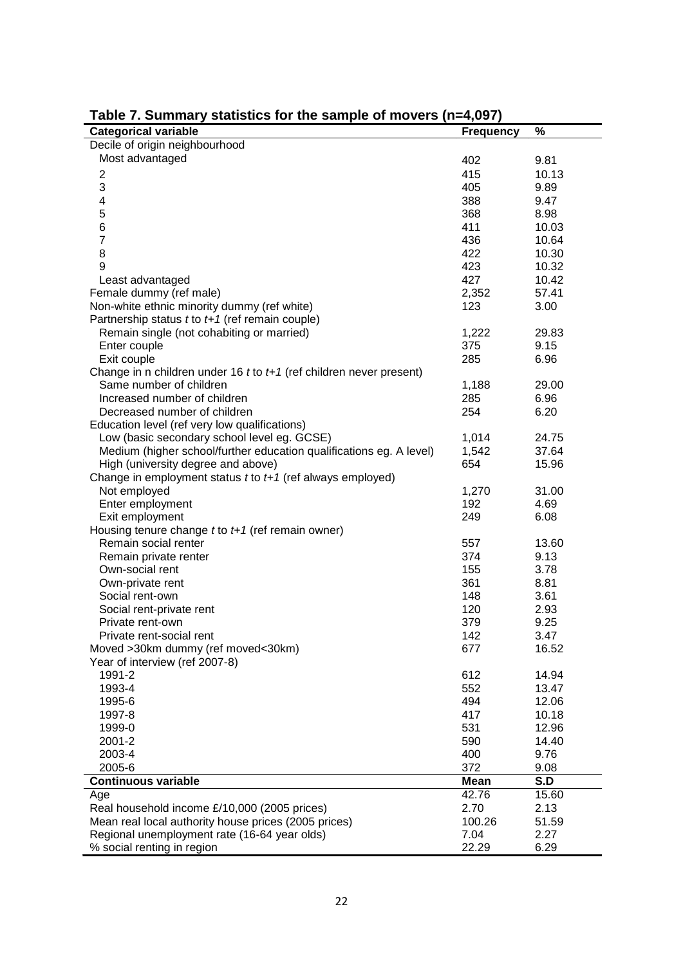| .<br><b>Categorical variable</b>                                                                   |                  | %     |
|----------------------------------------------------------------------------------------------------|------------------|-------|
| Decile of origin neighbourhood                                                                     | <b>Frequency</b> |       |
|                                                                                                    |                  |       |
| Most advantaged                                                                                    | 402              | 9.81  |
| $\overline{\mathbf{c}}$                                                                            | 415              | 10.13 |
| 3                                                                                                  | 405              | 9.89  |
| 4                                                                                                  | 388              | 9.47  |
| 5                                                                                                  | 368              | 8.98  |
| 6                                                                                                  | 411              | 10.03 |
| $\overline{7}$                                                                                     | 436              | 10.64 |
| 8                                                                                                  | 422              | 10.30 |
| 9                                                                                                  | 423              | 10.32 |
| Least advantaged                                                                                   | 427              | 10.42 |
| Female dummy (ref male)                                                                            | 2,352            | 57.41 |
| Non-white ethnic minority dummy (ref white)                                                        | 123              | 3.00  |
| Partnership status $t$ to $t+1$ (ref remain couple)                                                |                  |       |
| Remain single (not cohabiting or married)                                                          | 1,222            | 29.83 |
| Enter couple                                                                                       | 375              | 9.15  |
| Exit couple                                                                                        | 285              | 6.96  |
|                                                                                                    |                  |       |
| Change in n children under 16 $t$ to $t+1$ (ref children never present)<br>Same number of children |                  |       |
|                                                                                                    | 1,188            | 29.00 |
| Increased number of children                                                                       | 285              | 6.96  |
| Decreased number of children                                                                       | 254              | 6.20  |
| Education level (ref very low qualifications)                                                      |                  |       |
| Low (basic secondary school level eg. GCSE)                                                        | 1,014            | 24.75 |
| Medium (higher school/further education qualifications eg. A level)                                | 1,542            | 37.64 |
| High (university degree and above)                                                                 | 654              | 15.96 |
| Change in employment status $t$ to $t+1$ (ref always employed)                                     |                  |       |
| Not employed                                                                                       | 1,270            | 31.00 |
| Enter employment                                                                                   | 192              | 4.69  |
| Exit employment                                                                                    | 249              | 6.08  |
| Housing tenure change $t$ to $t+1$ (ref remain owner)                                              |                  |       |
| Remain social renter                                                                               | 557              | 13.60 |
| Remain private renter                                                                              | 374              | 9.13  |
| Own-social rent                                                                                    | 155              | 3.78  |
| Own-private rent                                                                                   | 361              | 8.81  |
| Social rent-own                                                                                    | 148              | 3.61  |
| Social rent-private rent                                                                           | 120              | 2.93  |
| Private rent-own                                                                                   | 379              | 9.25  |
| Private rent-social rent                                                                           | 142              | 3.47  |
| Moved >30km dummy (ref moved<30km)                                                                 | 677              | 16.52 |
| Year of interview (ref 2007-8)                                                                     |                  |       |
| 1991-2                                                                                             | 612              | 14.94 |
| 1993-4                                                                                             | 552              | 13.47 |
| 1995-6                                                                                             | 494              | 12.06 |
| 1997-8                                                                                             | 417              | 10.18 |
| 1999-0                                                                                             | 531              | 12.96 |
| 2001-2                                                                                             | 590              | 14.40 |
|                                                                                                    |                  |       |
| 2003-4                                                                                             | 400              | 9.76  |
| 2005-6                                                                                             | 372              | 9.08  |
| <b>Continuous variable</b>                                                                         | <b>Mean</b>      | S.D   |
| Age                                                                                                | 42.76            | 15.60 |
| Real household income £/10,000 (2005 prices)                                                       | 2.70             | 2.13  |
| Mean real local authority house prices (2005 prices)                                               | 100.26           | 51.59 |
| Regional unemployment rate (16-64 year olds)                                                       | 7.04             | 2.27  |
| % social renting in region                                                                         | 22.29            | 6.29  |

**Table 7. Summary statistics for the sample of movers (n=4,097)**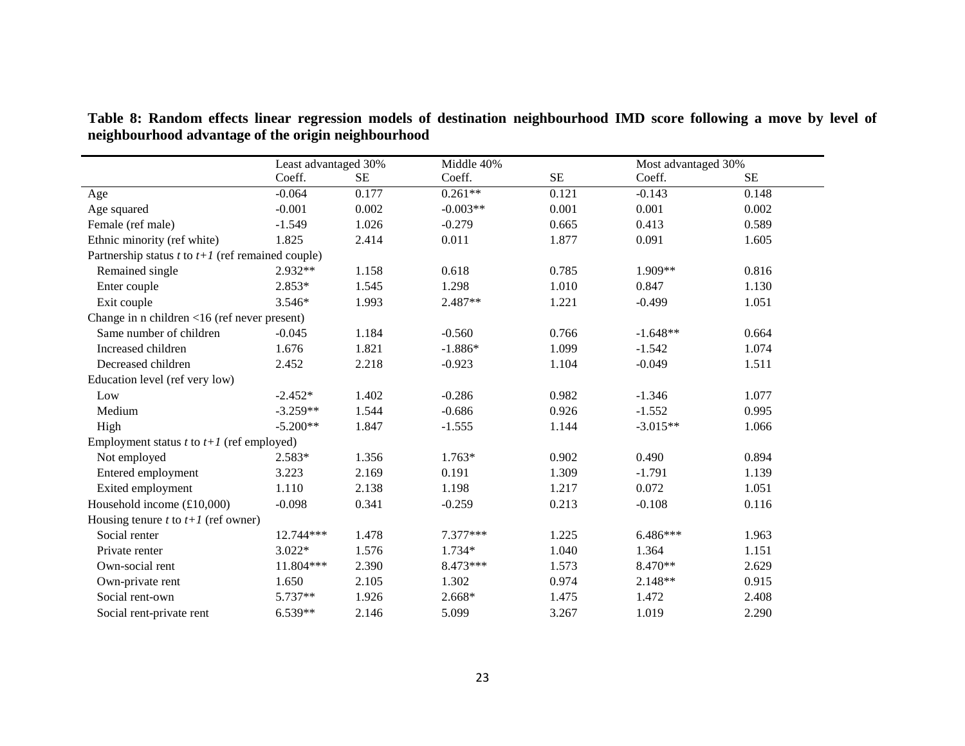|                                                               | Least advantaged 30% |           | Middle 40% |          | Most advantaged 30% |           |
|---------------------------------------------------------------|----------------------|-----------|------------|----------|---------------------|-----------|
|                                                               | Coeff.               | <b>SE</b> | Coeff.     | $\rm SE$ | Coeff.              | <b>SE</b> |
| Age                                                           | $-0.064$             | 0.177     | $0.261**$  | 0.121    | $-0.143$            | 0.148     |
| Age squared                                                   | $-0.001$             | 0.002     | $-0.003**$ | 0.001    | 0.001               | 0.002     |
| Female (ref male)                                             | $-1.549$             | 1.026     | $-0.279$   | 0.665    | 0.413               | 0.589     |
| Ethnic minority (ref white)                                   | 1.825                | 2.414     | 0.011      | 1.877    | 0.091               | 1.605     |
| Partnership status $t$ to $t+1$ (ref remained couple)         |                      |           |            |          |                     |           |
| Remained single                                               | $2.932**$            | 1.158     | 0.618      | 0.785    | $1.909**$           | 0.816     |
| Enter couple                                                  | $2.853*$             | 1.545     | 1.298      | 1.010    | 0.847               | 1.130     |
| Exit couple                                                   | $3.546*$             | 1.993     | 2.487**    | 1.221    | $-0.499$            | 1.051     |
| Change in n children $\langle 16 \rangle$ (ref never present) |                      |           |            |          |                     |           |
| Same number of children                                       | $-0.045$             | 1.184     | $-0.560$   | 0.766    | $-1.648**$          | 0.664     |
| Increased children                                            | 1.676                | 1.821     | $-1.886*$  | 1.099    | $-1.542$            | 1.074     |
| Decreased children                                            | 2.452                | 2.218     | $-0.923$   | 1.104    | $-0.049$            | 1.511     |
| Education level (ref very low)                                |                      |           |            |          |                     |           |
| Low                                                           | $-2.452*$            | 1.402     | $-0.286$   | 0.982    | $-1.346$            | 1.077     |
| Medium                                                        | $-3.259**$           | 1.544     | $-0.686$   | 0.926    | $-1.552$            | 0.995     |
| High                                                          | $-5.200**$           | 1.847     | $-1.555$   | 1.144    | $-3.015**$          | 1.066     |
| Employment status $t$ to $t+1$ (ref employed)                 |                      |           |            |          |                     |           |
| Not employed                                                  | $2.583*$             | 1.356     | $1.763*$   | 0.902    | 0.490               | 0.894     |
| Entered employment                                            | 3.223                | 2.169     | 0.191      | 1.309    | $-1.791$            | 1.139     |
| Exited employment                                             | 1.110                | 2.138     | 1.198      | 1.217    | 0.072               | 1.051     |
| Household income $(\text{\pounds}10,000)$                     | $-0.098$             | 0.341     | $-0.259$   | 0.213    | $-0.108$            | 0.116     |
| Housing tenure t to $t+1$ (ref owner)                         |                      |           |            |          |                     |           |
| Social renter                                                 | 12.744***            | 1.478     | 7.377***   | 1.225    | 6.486***            | 1.963     |
| Private renter                                                | $3.022*$             | 1.576     | 1.734*     | 1.040    | 1.364               | 1.151     |
| Own-social rent                                               | 11.804***            | 2.390     | 8.473***   | 1.573    | 8.470**             | 2.629     |
| Own-private rent                                              | 1.650                | 2.105     | 1.302      | 0.974    | 2.148**             | 0.915     |
| Social rent-own                                               | $5.737**$            | 1.926     | 2.668*     | 1.475    | 1.472               | 2.408     |
| Social rent-private rent                                      | 6.539**              | 2.146     | 5.099      | 3.267    | 1.019               | 2.290     |

**Table 8: Random effects linear regression models of destination neighbourhood IMD score following a move by level of neighbourhood advantage of the origin neighbourhood**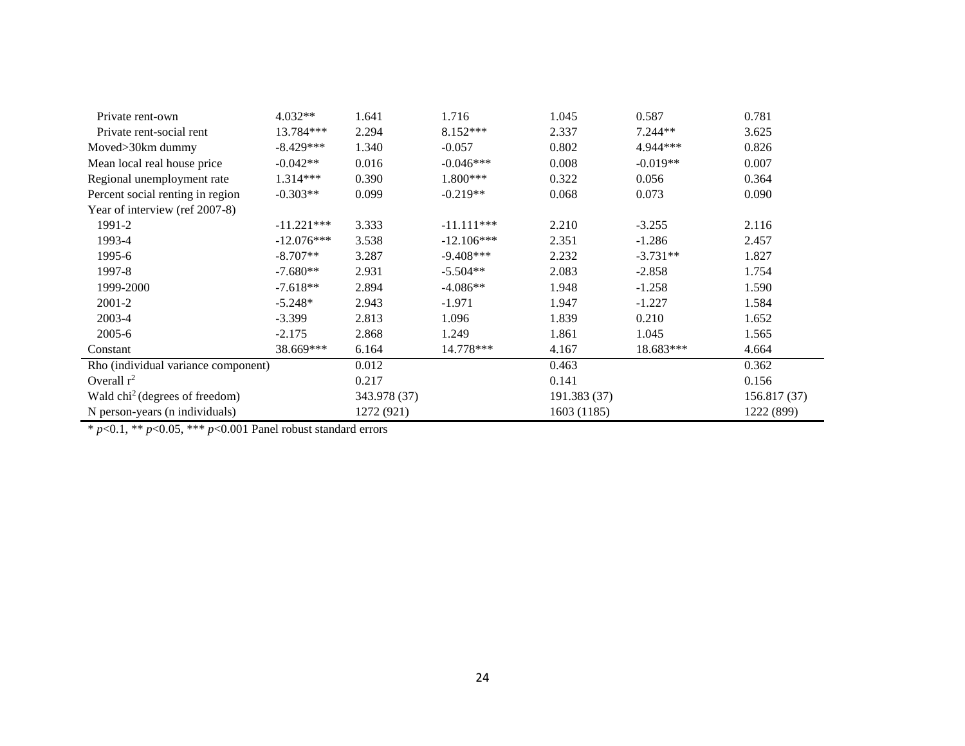| Private rent-own                    | $4.032**$    | 1.641        | 1.716        | 1.045        | 0.587      | 0.781        |
|-------------------------------------|--------------|--------------|--------------|--------------|------------|--------------|
| Private rent-social rent            | 13.784***    | 2.294        | $8.152***$   | 2.337        | $7.244**$  | 3.625        |
| Moved>30km dummy                    | $-8.429***$  | 1.340        | $-0.057$     | 0.802        | 4.944***   | 0.826        |
| Mean local real house price         | $-0.042**$   | 0.016        | $-0.046***$  | 0.008        | $-0.019**$ | 0.007        |
| Regional unemployment rate          | 1.314***     | 0.390        | 1.800***     | 0.322        | 0.056      | 0.364        |
| Percent social renting in region    | $-0.303**$   | 0.099        | $-0.219**$   | 0.068        | 0.073      | 0.090        |
| Year of interview (ref 2007-8)      |              |              |              |              |            |              |
| 1991-2                              | $-11.221***$ | 3.333        | $-11.111***$ | 2.210        | $-3.255$   | 2.116        |
| 1993-4                              | $-12.076***$ | 3.538        | $-12.106***$ | 2.351        | $-1.286$   | 2.457        |
| 1995-6                              | $-8.707**$   | 3.287        | $-9.408***$  | 2.232        | $-3.731**$ | 1.827        |
| 1997-8                              | $-7.680**$   | 2.931        | $-5.504**$   | 2.083        | $-2.858$   | 1.754        |
| 1999-2000                           | $-7.618**$   | 2.894        | $-4.086**$   | 1.948        | $-1.258$   | 1.590        |
| 2001-2                              | $-5.248*$    | 2.943        | $-1.971$     | 1.947        | $-1.227$   | 1.584        |
| 2003-4                              | $-3.399$     | 2.813        | 1.096        | 1.839        | 0.210      | 1.652        |
| $2005 - 6$                          | $-2.175$     | 2.868        | 1.249        | 1.861        | 1.045      | 1.565        |
| Constant                            | 38.669***    | 6.164        | 14.778***    | 4.167        | 18.683***  | 4.664        |
| Rho (individual variance component) |              | 0.012        |              | 0.463        |            | 0.362        |
| Overall $r^2$                       |              | 0.217        |              | 0.141        |            | 0.156        |
| Wald $chi2$ (degrees of freedom)    |              | 343.978 (37) |              | 191.383 (37) |            | 156.817 (37) |
| N person-years (n individuals)      |              | 1272 (921)   |              | 1603 (1185)  |            | 1222 (899)   |

\* *p*<0.1, \*\* *p*<0.05, \*\*\* *p*<0.001 Panel robust standard errors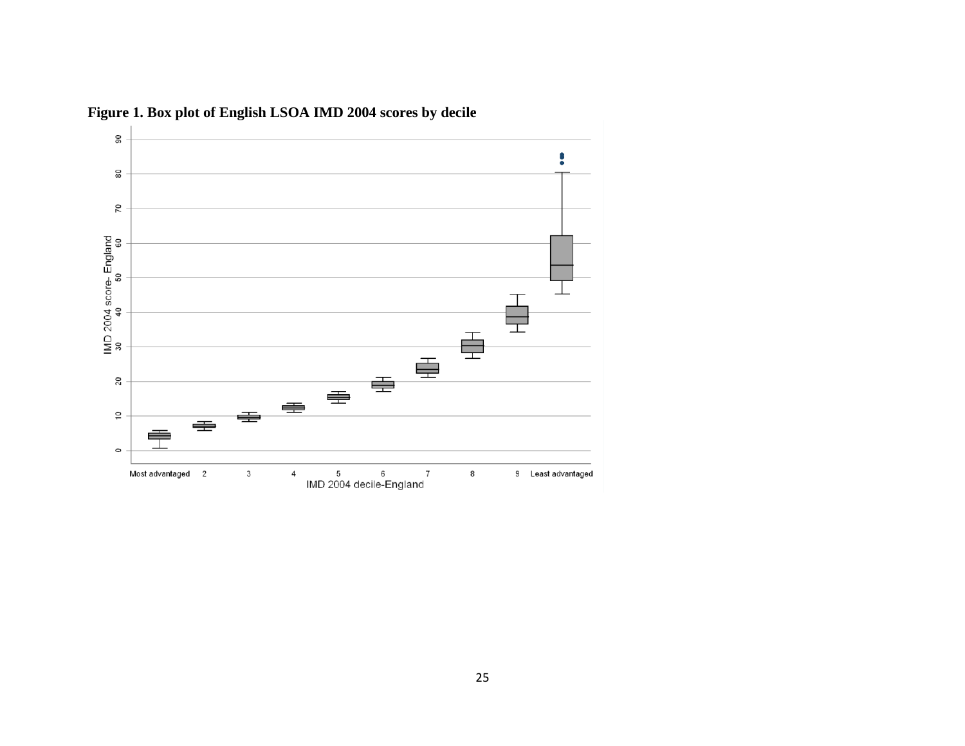

**Figure 1. Box plot of English LSOA IMD 2004 scores by decile**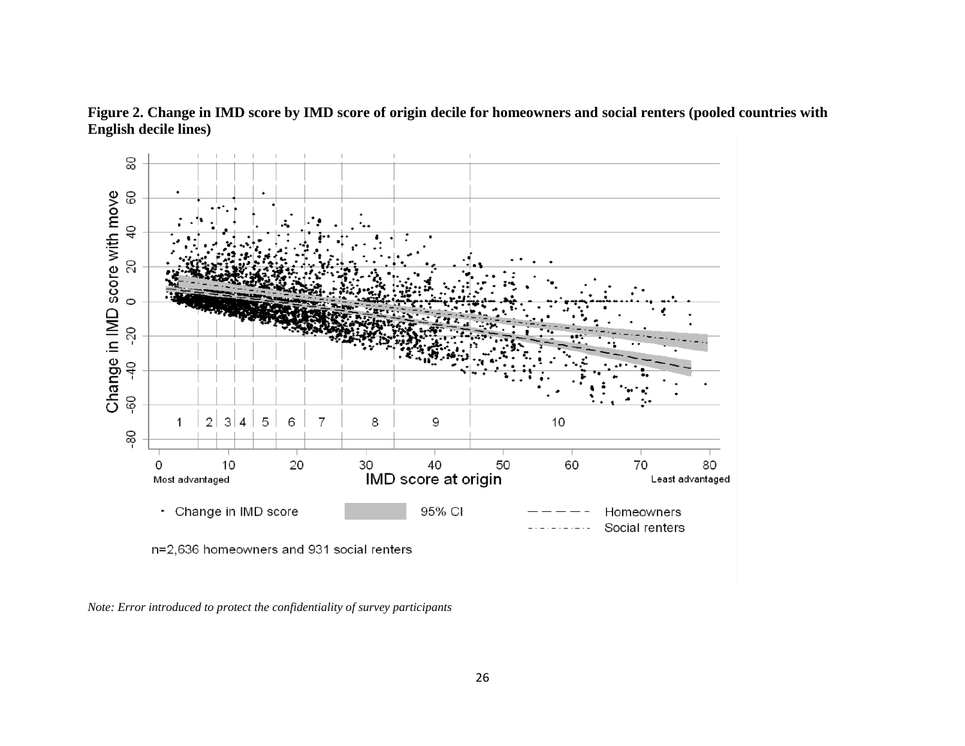

**Figure 2. Change in IMD score by IMD score of origin decile for homeowners and social renters (pooled countries with English decile lines)**

*Note: Error introduced to protect the confidentiality of survey participants*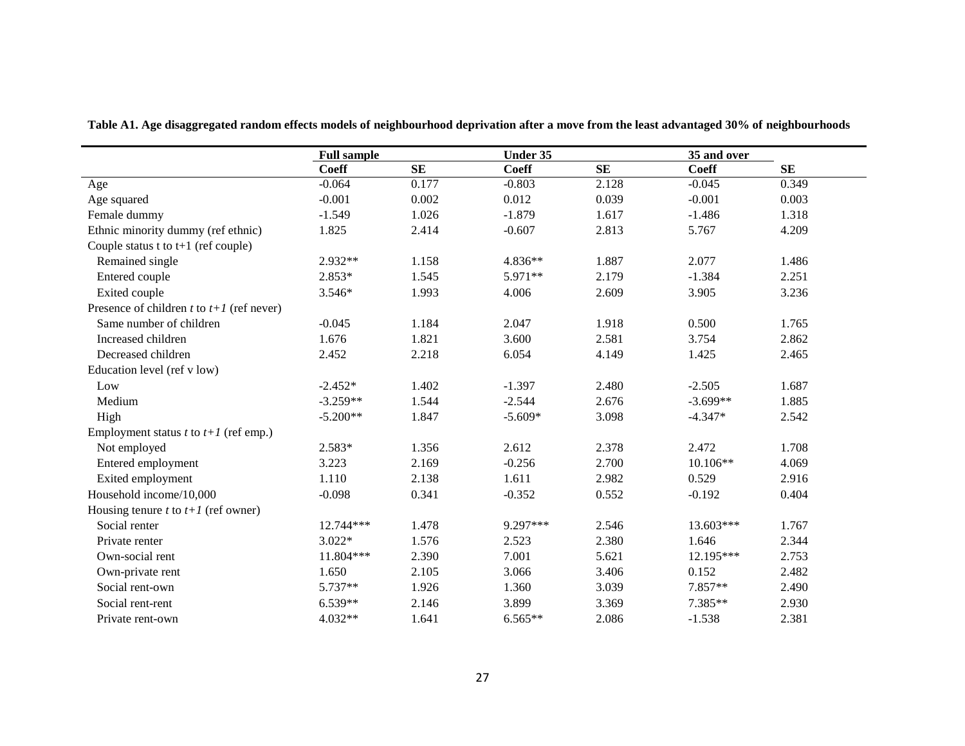|                                                | <b>Full sample</b> |       | Under 35     |           |                             |       |
|------------------------------------------------|--------------------|-------|--------------|-----------|-----------------------------|-------|
|                                                | <b>Coeff</b>       | SE    | <b>Coeff</b> | <b>SE</b> | 35 and over<br><b>Coeff</b> | SE    |
| Age                                            | $-0.064$           | 0.177 | $-0.803$     | 2.128     | $-0.045$                    | 0.349 |
| Age squared                                    | $-0.001$           | 0.002 | 0.012        | 0.039     | $-0.001$                    | 0.003 |
| Female dummy                                   | $-1.549$           | 1.026 | $-1.879$     | 1.617     | $-1.486$                    | 1.318 |
| Ethnic minority dummy (ref ethnic)             | 1.825              | 2.414 | $-0.607$     | 2.813     | 5.767                       | 4.209 |
| Couple status $t$ to $t+1$ (ref couple)        |                    |       |              |           |                             |       |
| Remained single                                | 2.932**            | 1.158 | 4.836**      | 1.887     | 2.077                       | 1.486 |
| Entered couple                                 | $2.853*$           | 1.545 | 5.971**      | 2.179     | $-1.384$                    | 2.251 |
| Exited couple                                  | 3.546*             | 1.993 | 4.006        | 2.609     | 3.905                       | 3.236 |
| Presence of children t to $t+1$ (ref never)    |                    |       |              |           |                             |       |
| Same number of children                        | $-0.045$           | 1.184 | 2.047        | 1.918     | 0.500                       | 1.765 |
| Increased children                             | 1.676              | 1.821 | 3.600        | 2.581     | 3.754                       | 2.862 |
| Decreased children                             | 2.452              | 2.218 | 6.054        | 4.149     | 1.425                       | 2.465 |
| Education level (ref v low)                    |                    |       |              |           |                             |       |
| Low                                            | $-2.452*$          | 1.402 | $-1.397$     | 2.480     | $-2.505$                    | 1.687 |
| Medium                                         | $-3.259**$         | 1.544 | $-2.544$     | 2.676     | $-3.699**$                  | 1.885 |
| High                                           | $-5.200**$         | 1.847 | $-5.609*$    | 3.098     | $-4.347*$                   | 2.542 |
| Employment status <i>t</i> to $t+1$ (ref emp.) |                    |       |              |           |                             |       |
| Not employed                                   | 2.583*             | 1.356 | 2.612        | 2.378     | 2.472                       | 1.708 |
| Entered employment                             | 3.223              | 2.169 | $-0.256$     | 2.700     | 10.106**                    | 4.069 |
| Exited employment                              | 1.110              | 2.138 | 1.611        | 2.982     | 0.529                       | 2.916 |
| Household income/10,000                        | $-0.098$           | 0.341 | $-0.352$     | 0.552     | $-0.192$                    | 0.404 |
| Housing tenure $t$ to $t+1$ (ref owner)        |                    |       |              |           |                             |       |
| Social renter                                  | 12.744***          | 1.478 | 9.297***     | 2.546     | 13.603***                   | 1.767 |
| Private renter                                 | $3.022*$           | 1.576 | 2.523        | 2.380     | 1.646                       | 2.344 |
| Own-social rent                                | 11.804***          | 2.390 | 7.001        | 5.621     | 12.195***                   | 2.753 |
| Own-private rent                               | 1.650              | 2.105 | 3.066        | 3.406     | 0.152                       | 2.482 |
| Social rent-own                                | 5.737**            | 1.926 | 1.360        | 3.039     | 7.857**                     | 2.490 |
| Social rent-rent                               | $6.539**$          | 2.146 | 3.899        | 3.369     | 7.385**                     | 2.930 |
| Private rent-own                               | $4.032**$          | 1.641 | $6.565**$    | 2.086     | $-1.538$                    | 2.381 |

**Table A1. Age disaggregated random effects models of neighbourhood deprivation after a move from the least advantaged 30% of neighbourhoods**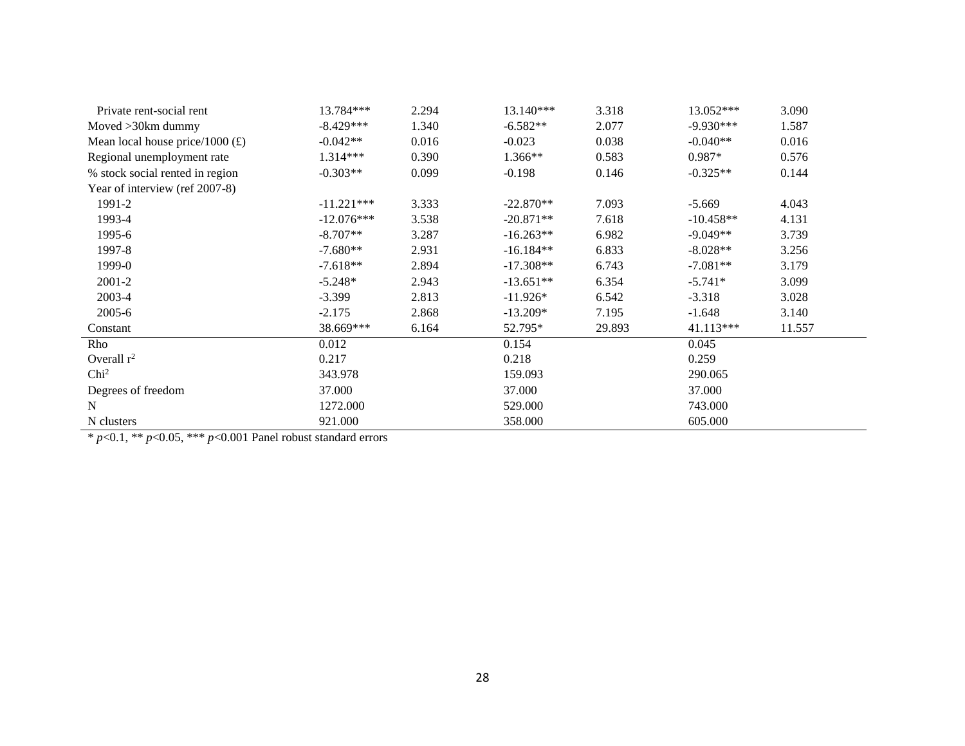| Private rent-social rent          | 13.784***    | 2.294 | 13.140***   | 3.318  | 13.052***   | 3.090  |
|-----------------------------------|--------------|-------|-------------|--------|-------------|--------|
| Moved >30km dummy                 | $-8.429***$  | 1.340 | $-6.582**$  | 2.077  | $-9.930***$ | 1.587  |
| Mean local house price/1000 $(E)$ | $-0.042**$   | 0.016 | $-0.023$    | 0.038  | $-0.040**$  | 0.016  |
| Regional unemployment rate        | 1.314***     | 0.390 | 1.366**     | 0.583  | 0.987*      | 0.576  |
| % stock social rented in region   | $-0.303**$   | 0.099 | $-0.198$    | 0.146  | $-0.325**$  | 0.144  |
| Year of interview (ref 2007-8)    |              |       |             |        |             |        |
| 1991-2                            | $-11.221***$ | 3.333 | $-22.870**$ | 7.093  | $-5.669$    | 4.043  |
| 1993-4                            | $-12.076***$ | 3.538 | $-20.871**$ | 7.618  | $-10.458**$ | 4.131  |
| 1995-6                            | $-8.707**$   | 3.287 | $-16.263**$ | 6.982  | $-9.049**$  | 3.739  |
| 1997-8                            | $-7.680**$   | 2.931 | $-16.184**$ | 6.833  | $-8.028**$  | 3.256  |
| 1999-0                            | $-7.618**$   | 2.894 | $-17.308**$ | 6.743  | $-7.081**$  | 3.179  |
| 2001-2                            | $-5.248*$    | 2.943 | $-13.651**$ | 6.354  | $-5.741*$   | 3.099  |
| 2003-4                            | $-3.399$     | 2.813 | $-11.926*$  | 6.542  | $-3.318$    | 3.028  |
| 2005-6                            | $-2.175$     | 2.868 | $-13.209*$  | 7.195  | $-1.648$    | 3.140  |
| Constant                          | 38.669***    | 6.164 | 52.795*     | 29.893 | 41.113***   | 11.557 |
| Rho                               | 0.012        |       | 0.154       |        | 0.045       |        |
| Overall $r^2$                     | 0.217        |       | 0.218       |        | 0.259       |        |
| Chi <sup>2</sup>                  | 343.978      |       | 159.093     |        | 290.065     |        |
| Degrees of freedom                | 37.000       |       | 37.000      |        | 37.000      |        |
| N                                 | 1272.000     |       | 529.000     |        | 743.000     |        |
| N clusters                        | 921.000      |       | 358.000     |        | 605.000     |        |

\* *p*<0.1, \*\* *p*<0.05, \*\*\* *p*<0.001 Panel robust standard errors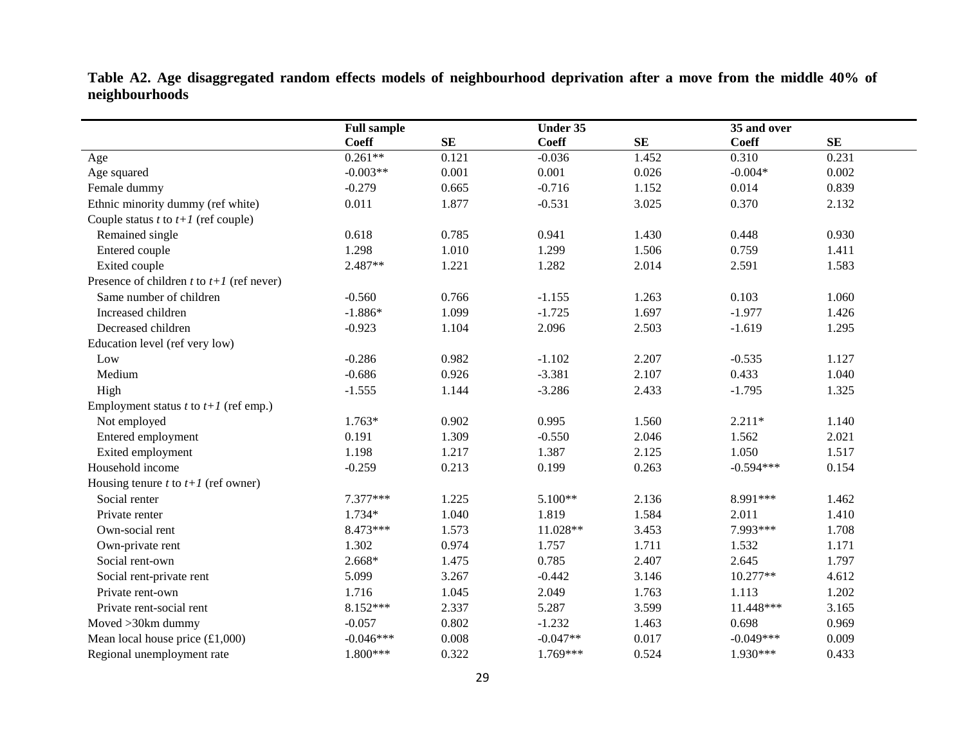**Table A2. Age disaggregated random effects models of neighbourhood deprivation after a move from the middle 40% of neighbourhoods**

|                                                      | <b>Full sample</b> |            | Under 35     |       |              |       |
|------------------------------------------------------|--------------------|------------|--------------|-------|--------------|-------|
|                                                      | <b>Coeff</b>       | ${\bf SE}$ | <b>Coeff</b> | SE    | <b>Coeff</b> | SE    |
| Age                                                  | $0.261**$          | 0.121      | $-0.036$     | 1.452 | 0.310        | 0.231 |
| Age squared                                          | $-0.003**$         | 0.001      | 0.001        | 0.026 | $-0.004*$    | 0.002 |
| Female dummy                                         | $-0.279$           | 0.665      | $-0.716$     | 1.152 | 0.014        | 0.839 |
| Ethnic minority dummy (ref white)                    | 0.011              | 1.877      | $-0.531$     | 3.025 | 0.370        | 2.132 |
| Couple status $t$ to $t+1$ (ref couple)              |                    |            |              |       |              |       |
| Remained single                                      | 0.618              | 0.785      | 0.941        | 1.430 | 0.448        | 0.930 |
| Entered couple                                       | 1.298              | 1.010      | 1.299        | 1.506 | 0.759        | 1.411 |
| Exited couple                                        | 2.487**            | 1.221      | 1.282        | 2.014 | 2.591        | 1.583 |
| Presence of children t to $t+1$ (ref never)          |                    |            |              |       |              |       |
| Same number of children                              | $-0.560$           | 0.766      | $-1.155$     | 1.263 | 0.103        | 1.060 |
| Increased children                                   | $-1.886*$          | 1.099      | $-1.725$     | 1.697 | $-1.977$     | 1.426 |
| Decreased children                                   | $-0.923$           | 1.104      | 2.096        | 2.503 | $-1.619$     | 1.295 |
| Education level (ref very low)                       |                    |            |              |       |              |       |
| Low                                                  | $-0.286$           | 0.982      | $-1.102$     | 2.207 | $-0.535$     | 1.127 |
| Medium                                               | $-0.686$           | 0.926      | $-3.381$     | 2.107 | 0.433        | 1.040 |
| High                                                 | $-1.555$           | 1.144      | $-3.286$     | 2.433 | $-1.795$     | 1.325 |
| Employment status <i>t</i> to $t+1$ (ref emp.)       |                    |            |              |       |              |       |
| Not employed                                         | $1.763*$           | 0.902      | 0.995        | 1.560 | $2.211*$     | 1.140 |
| Entered employment                                   | 0.191              | 1.309      | $-0.550$     | 2.046 | 1.562        | 2.021 |
| Exited employment                                    | 1.198              | 1.217      | 1.387        | 2.125 | 1.050        | 1.517 |
| Household income                                     | $-0.259$           | 0.213      | 0.199        | 0.263 | $-0.594***$  | 0.154 |
| Housing tenure $t$ to $t+1$ (ref owner)              |                    |            |              |       |              |       |
| Social renter                                        | 7.377***           | 1.225      | $5.100**$    | 2.136 | 8.991***     | 1.462 |
| Private renter                                       | $1.734*$           | 1.040      | 1.819        | 1.584 | 2.011        | 1.410 |
| Own-social rent                                      | 8.473***           | 1.573      | 11.028**     | 3.453 | 7.993***     | 1.708 |
| Own-private rent                                     | 1.302              | 0.974      | 1.757        | 1.711 | 1.532        | 1.171 |
| Social rent-own                                      | $2.668*$           | 1.475      | 0.785        | 2.407 | 2.645        | 1.797 |
| Social rent-private rent                             | 5.099              | 3.267      | $-0.442$     | 3.146 | 10.277**     | 4.612 |
| Private rent-own                                     | 1.716              | 1.045      | 2.049        | 1.763 | 1.113        | 1.202 |
| Private rent-social rent                             | $8.152***$         | 2.337      | 5.287        | 3.599 | 11.448***    | 3.165 |
| Moved > 30km dummy                                   | $-0.057$           | 0.802      | $-1.232$     | 1.463 | 0.698        | 0.969 |
| Mean local house price $(\text{\textsterling}1,000)$ | $-0.046***$        | 0.008      | $-0.047**$   | 0.017 | $-0.049***$  | 0.009 |
| Regional unemployment rate                           | 1.800***           | 0.322      | 1.769***     | 0.524 | 1.930***     | 0.433 |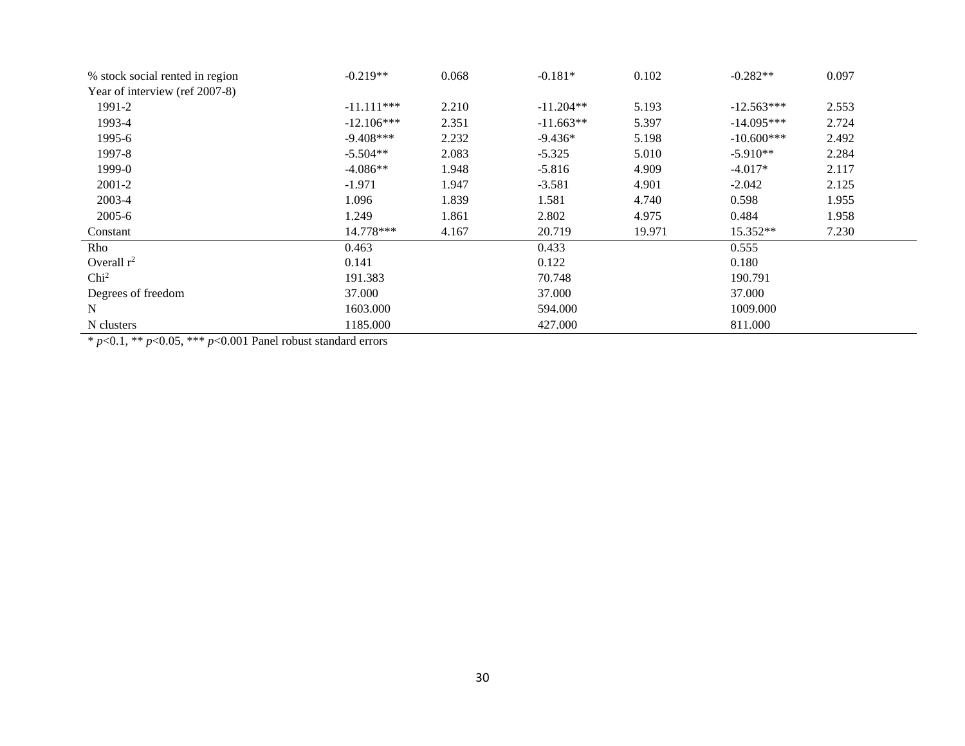| % stock social rented in region | $-0.219**$   | 0.068 | $-0.181*$   | 0.102  | $-0.282**$   | 0.097 |
|---------------------------------|--------------|-------|-------------|--------|--------------|-------|
| Year of interview (ref 2007-8)  |              |       |             |        |              |       |
| 1991-2                          | $-11.111***$ | 2.210 | $-11.204**$ | 5.193  | $-12.563***$ | 2.553 |
| 1993-4                          | $-12.106***$ | 2.351 | $-11.663**$ | 5.397  | $-14.095***$ | 2.724 |
| 1995-6                          | $-9.408***$  | 2.232 | $-9.436*$   | 5.198  | $-10.600***$ | 2.492 |
| 1997-8                          | $-5.504**$   | 2.083 | $-5.325$    | 5.010  | $-5.910**$   | 2.284 |
| 1999-0                          | $-4.086**$   | 1.948 | $-5.816$    | 4.909  | $-4.017*$    | 2.117 |
| $2001 - 2$                      | $-1.971$     | 1.947 | $-3.581$    | 4.901  | $-2.042$     | 2.125 |
| 2003-4                          | 1.096        | 1.839 | 1.581       | 4.740  | 0.598        | 1.955 |
| $2005 - 6$                      | 1.249        | 1.861 | 2.802       | 4.975  | 0.484        | 1.958 |
| Constant                        | 14.778***    | 4.167 | 20.719      | 19.971 | 15.352**     | 7.230 |
| Rho                             | 0.463        |       | 0.433       |        | 0.555        |       |
| Overall $r^2$                   | 0.141        |       | 0.122       |        | 0.180        |       |
| Chi <sup>2</sup>                | 191.383      |       | 70.748      |        | 190.791      |       |
| Degrees of freedom              | 37.000       |       | 37.000      |        | 37.000       |       |
| N                               | 1603.000     |       | 594.000     |        | 1009.000     |       |
| N clusters                      | 1185.000     |       | 427.000     |        | 811.000      |       |

\* *p*<0.1, \*\* *p*<0.05, \*\*\* *p*<0.001 Panel robust standard errors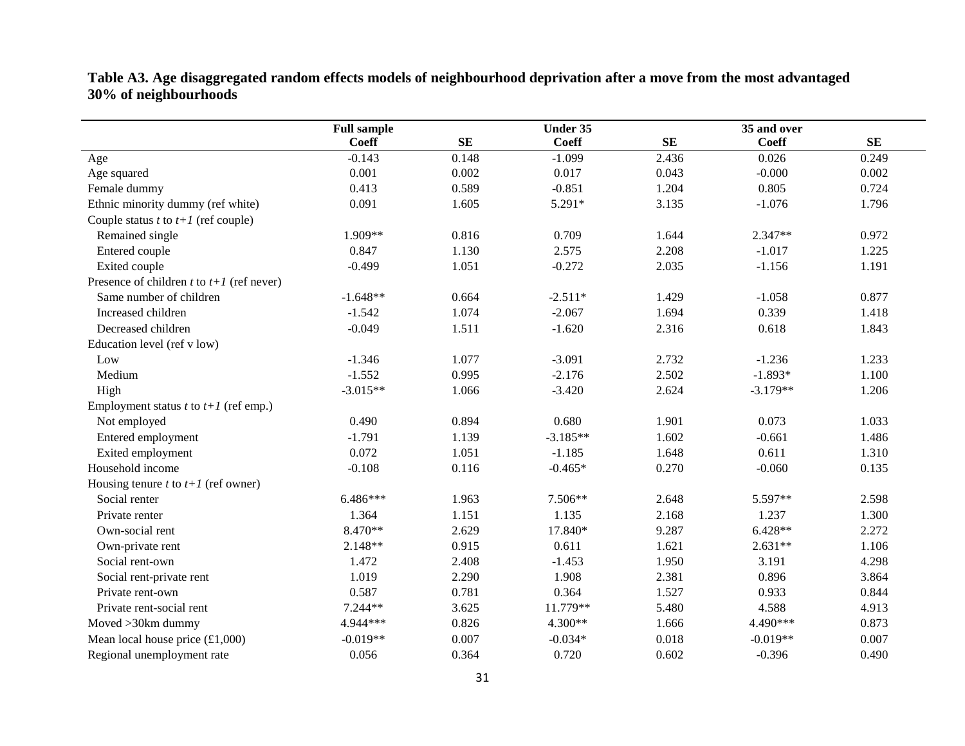**Table A3. Age disaggregated random effects models of neighbourhood deprivation after a move from the most advantaged 30% of neighbourhoods**

|                                                | <b>Full sample</b> | <b>Under 35</b> |              |       | 35 and over  |       |
|------------------------------------------------|--------------------|-----------------|--------------|-------|--------------|-------|
|                                                | <b>Coeff</b>       | <b>SE</b>       | <b>Coeff</b> | SE    | <b>Coeff</b> | SE    |
| Age                                            | $-0.143$           | 0.148           | $-1.099$     | 2.436 | 0.026        | 0.249 |
| Age squared                                    | 0.001              | 0.002           | 0.017        | 0.043 | $-0.000$     | 0.002 |
| Female dummy                                   | 0.413              | 0.589           | $-0.851$     | 1.204 | 0.805        | 0.724 |
| Ethnic minority dummy (ref white)              | 0.091              | 1.605           | 5.291*       | 3.135 | $-1.076$     | 1.796 |
| Couple status $t$ to $t+1$ (ref couple)        |                    |                 |              |       |              |       |
| Remained single                                | 1.909**            | 0.816           | 0.709        | 1.644 | $2.347**$    | 0.972 |
| Entered couple                                 | 0.847              | 1.130           | 2.575        | 2.208 | $-1.017$     | 1.225 |
| Exited couple                                  | $-0.499$           | 1.051           | $-0.272$     | 2.035 | $-1.156$     | 1.191 |
| Presence of children t to $t+1$ (ref never)    |                    |                 |              |       |              |       |
| Same number of children                        | $-1.648**$         | 0.664           | $-2.511*$    | 1.429 | $-1.058$     | 0.877 |
| Increased children                             | $-1.542$           | 1.074           | $-2.067$     | 1.694 | 0.339        | 1.418 |
| Decreased children                             | $-0.049$           | 1.511           | $-1.620$     | 2.316 | 0.618        | 1.843 |
| Education level (ref v low)                    |                    |                 |              |       |              |       |
| Low                                            | $-1.346$           | 1.077           | $-3.091$     | 2.732 | $-1.236$     | 1.233 |
| Medium                                         | $-1.552$           | 0.995           | $-2.176$     | 2.502 | $-1.893*$    | 1.100 |
| High                                           | $-3.015**$         | 1.066           | $-3.420$     | 2.624 | $-3.179**$   | 1.206 |
| Employment status $t$ to $t+1$ (ref emp.)      |                    |                 |              |       |              |       |
| Not employed                                   | 0.490              | 0.894           | 0.680        | 1.901 | 0.073        | 1.033 |
| Entered employment                             | $-1.791$           | 1.139           | $-3.185**$   | 1.602 | $-0.661$     | 1.486 |
| Exited employment                              | 0.072              | 1.051           | $-1.185$     | 1.648 | 0.611        | 1.310 |
| Household income                               | $-0.108$           | 0.116           | $-0.465*$    | 0.270 | $-0.060$     | 0.135 |
| Housing tenure t to $t+1$ (ref owner)          |                    |                 |              |       |              |       |
| Social renter                                  | $6.486***$         | 1.963           | 7.506**      | 2.648 | 5.597**      | 2.598 |
| Private renter                                 | 1.364              | 1.151           | 1.135        | 2.168 | 1.237        | 1.300 |
| Own-social rent                                | 8.470**            | 2.629           | 17.840*      | 9.287 | $6.428**$    | 2.272 |
| Own-private rent                               | 2.148**            | 0.915           | 0.611        | 1.621 | $2.631**$    | 1.106 |
| Social rent-own                                | 1.472              | 2.408           | $-1.453$     | 1.950 | 3.191        | 4.298 |
| Social rent-private rent                       | 1.019              | 2.290           | 1.908        | 2.381 | 0.896        | 3.864 |
| Private rent-own                               | 0.587              | 0.781           | 0.364        | 1.527 | 0.933        | 0.844 |
| Private rent-social rent                       | 7.244**            | 3.625           | 11.779**     | 5.480 | 4.588        | 4.913 |
| Moved >30km dummy                              | 4.944***           | 0.826           | 4.300**      | 1.666 | 4.490***     | 0.873 |
| Mean local house price $(\text{\pounds}1,000)$ | $-0.019**$         | 0.007           | $-0.034*$    | 0.018 | $-0.019**$   | 0.007 |
| Regional unemployment rate                     | 0.056              | 0.364           | 0.720        | 0.602 | $-0.396$     | 0.490 |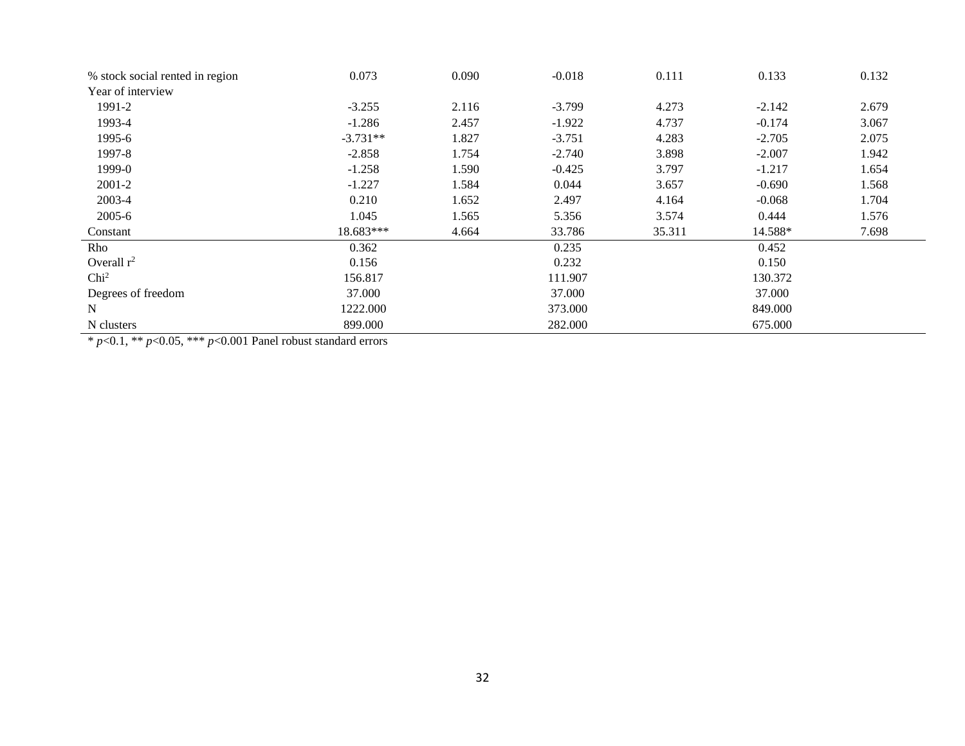| % stock social rented in region | 0.073       | 0.090 | $-0.018$ | 0.111  | 0.133    | 0.132 |
|---------------------------------|-------------|-------|----------|--------|----------|-------|
| Year of interview               |             |       |          |        |          |       |
| 1991-2                          | $-3.255$    | 2.116 | $-3.799$ | 4.273  | $-2.142$ | 2.679 |
| 1993-4                          | $-1.286$    | 2.457 | $-1.922$ | 4.737  | $-0.174$ | 3.067 |
| 1995-6                          | $-3.731**$  | 1.827 | $-3.751$ | 4.283  | $-2.705$ | 2.075 |
| 1997-8                          | $-2.858$    | 1.754 | $-2.740$ | 3.898  | $-2.007$ | 1.942 |
| 1999-0                          | $-1.258$    | 1.590 | $-0.425$ | 3.797  | $-1.217$ | 1.654 |
| $2001 - 2$                      | $-1.227$    | 1.584 | 0.044    | 3.657  | $-0.690$ | 1.568 |
| 2003-4                          | 0.210       | 1.652 | 2.497    | 4.164  | $-0.068$ | 1.704 |
| 2005-6                          | 1.045       | 1.565 | 5.356    | 3.574  | 0.444    | 1.576 |
| Constant                        | $18.683***$ | 4.664 | 33.786   | 35.311 | 14.588*  | 7.698 |
| Rho                             | 0.362       |       | 0.235    |        | 0.452    |       |
| Overall $r^2$                   | 0.156       |       | 0.232    |        | 0.150    |       |
| Chi <sup>2</sup>                | 156.817     |       | 111.907  |        | 130.372  |       |
| Degrees of freedom              | 37.000      |       | 37.000   |        | 37.000   |       |
| $\mathbf N$                     | 1222.000    |       | 373.000  |        | 849.000  |       |
| N clusters                      | 899.000     |       | 282.000  |        | 675.000  |       |

\* *p*<0.1, \*\* *p*<0.05, \*\*\* *p*<0.001 Panel robust standard errors